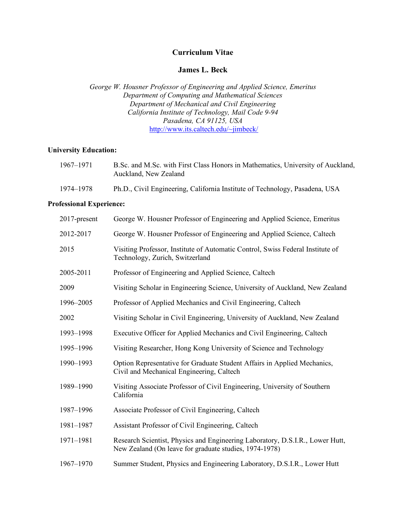# **Curriculum Vitae**

## **James L. Beck**

*George W. Housner Professor of Engineering and Applied Science, Emeritus Department of Computing and Mathematical Sciences Department of Mechanical and Civil Engineering California Institute of Technology, Mail Code 9-94 Pasadena, CA 91125, USA* http://www.its.caltech.edu/~jimbeck/

# **University Education:**

| 1967–1971 | B.Sc. and M.Sc. with First Class Honors in Mathematics, University of Auckland,<br>Auckland, New Zealand |
|-----------|----------------------------------------------------------------------------------------------------------|
| 1974–1978 | Ph.D., Civil Engineering, California Institute of Technology, Pasadena, USA                              |

## **Professional Experience:**

| 2017-present | George W. Housner Professor of Engineering and Applied Science, Emeritus                                                                |
|--------------|-----------------------------------------------------------------------------------------------------------------------------------------|
| 2012-2017    | George W. Housner Professor of Engineering and Applied Science, Caltech                                                                 |
| 2015         | Visiting Professor, Institute of Automatic Control, Swiss Federal Institute of<br>Technology, Zurich, Switzerland                       |
| 2005-2011    | Professor of Engineering and Applied Science, Caltech                                                                                   |
| 2009         | Visiting Scholar in Engineering Science, University of Auckland, New Zealand                                                            |
| 1996-2005    | Professor of Applied Mechanics and Civil Engineering, Caltech                                                                           |
| 2002         | Visiting Scholar in Civil Engineering, University of Auckland, New Zealand                                                              |
| 1993-1998    | Executive Officer for Applied Mechanics and Civil Engineering, Caltech                                                                  |
| 1995-1996    | Visiting Researcher, Hong Kong University of Science and Technology                                                                     |
| 1990-1993    | Option Representative for Graduate Student Affairs in Applied Mechanics,<br>Civil and Mechanical Engineering, Caltech                   |
| 1989-1990    | Visiting Associate Professor of Civil Engineering, University of Southern<br>California                                                 |
| 1987-1996    | Associate Professor of Civil Engineering, Caltech                                                                                       |
| 1981-1987    | Assistant Professor of Civil Engineering, Caltech                                                                                       |
| 1971-1981    | Research Scientist, Physics and Engineering Laboratory, D.S.I.R., Lower Hutt,<br>New Zealand (On leave for graduate studies, 1974-1978) |
| 1967-1970    | Summer Student, Physics and Engineering Laboratory, D.S.I.R., Lower Hutt                                                                |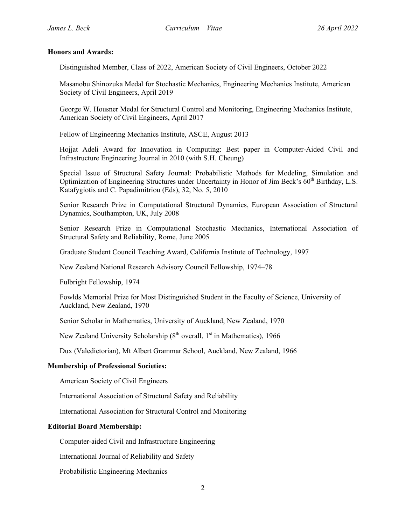### **Honors and Awards:**

Distinguished Member, Class of 2022, American Society of Civil Engineers, October 2022

Masanobu Shinozuka Medal for Stochastic Mechanics, Engineering Mechanics Institute, American Society of Civil Engineers, April 2019

George W. Housner Medal for Structural Control and Monitoring, Engineering Mechanics Institute, American Society of Civil Engineers, April 2017

Fellow of Engineering Mechanics Institute, ASCE, August 2013

Hojjat Adeli Award for Innovation in Computing: Best paper in Computer-Aided Civil and Infrastructure Engineering Journal in 2010 (with S.H. Cheung)

Special Issue of Structural Safety Journal: Probabilistic Methods for Modeling, Simulation and Optimization of Engineering Structures under Uncertainty in Honor of Jim Beck's 60<sup>th</sup> Birthday, L.S. Katafygiotis and C. Papadimitriou (Eds), 32, No. 5, 2010

Senior Research Prize in Computational Structural Dynamics, European Association of Structural Dynamics, Southampton, UK, July 2008

Senior Research Prize in Computational Stochastic Mechanics, International Association of Structural Safety and Reliability, Rome, June 2005

Graduate Student Council Teaching Award, California Institute of Technology, 1997

New Zealand National Research Advisory Council Fellowship, 1974–78

Fulbright Fellowship, 1974

Fowlds Memorial Prize for Most Distinguished Student in the Faculty of Science, University of Auckland, New Zealand, 1970

Senior Scholar in Mathematics, University of Auckland, New Zealand, 1970

New Zealand University Scholarship  $(8<sup>th</sup> overall, 1<sup>st</sup> in Mathematics), 1966$ 

Dux (Valedictorian), Mt Albert Grammar School, Auckland, New Zealand, 1966

## **Membership of Professional Societies:**

American Society of Civil Engineers

International Association of Structural Safety and Reliability

International Association for Structural Control and Monitoring

#### **Editorial Board Membership:**

Computer-aided Civil and Infrastructure Engineering

International Journal of Reliability and Safety

Probabilistic Engineering Mechanics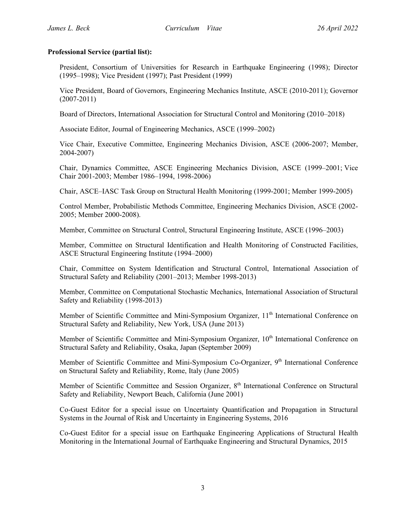## **Professional Service (partial list):**

President, Consortium of Universities for Research in Earthquake Engineering (1998); Director (1995–1998); Vice President (1997); Past President (1999)

Vice President, Board of Governors, Engineering Mechanics Institute, ASCE (2010-2011); Governor (2007-2011)

Board of Directors, International Association for Structural Control and Monitoring (2010–2018)

Associate Editor, Journal of Engineering Mechanics, ASCE (1999–2002)

Vice Chair, Executive Committee, Engineering Mechanics Division, ASCE (2006-2007; Member, 2004-2007)

Chair, Dynamics Committee, ASCE Engineering Mechanics Division, ASCE (1999–2001; Vice Chair 2001-2003; Member 1986–1994, 1998-2006)

Chair, ASCE–IASC Task Group on Structural Health Monitoring (1999-2001; Member 1999-2005)

Control Member, Probabilistic Methods Committee, Engineering Mechanics Division, ASCE (2002- 2005; Member 2000-2008).

Member, Committee on Structural Control, Structural Engineering Institute, ASCE (1996–2003)

Member, Committee on Structural Identification and Health Monitoring of Constructed Facilities, ASCE Structural Engineering Institute (1994–2000)

Chair, Committee on System Identification and Structural Control, International Association of Structural Safety and Reliability (2001–2013; Member 1998-2013)

Member, Committee on Computational Stochastic Mechanics, International Association of Structural Safety and Reliability (1998-2013)

Member of Scientific Committee and Mini-Symposium Organizer, 11<sup>th</sup> International Conference on Structural Safety and Reliability, New York, USA (June 2013)

Member of Scientific Committee and Mini-Symposium Organizer, 10<sup>th</sup> International Conference on Structural Safety and Reliability, Osaka, Japan (September 2009)

Member of Scientific Committee and Mini-Symposium Co-Organizer, 9<sup>th</sup> International Conference on Structural Safety and Reliability, Rome, Italy (June 2005)

Member of Scientific Committee and Session Organizer, 8<sup>th</sup> International Conference on Structural Safety and Reliability, Newport Beach, California (June 2001)

Co-Guest Editor for a special issue on Uncertainty Quantification and Propagation in Structural Systems in the Journal of Risk and Uncertainty in Engineering Systems, 2016

Co-Guest Editor for a special issue on Earthquake Engineering Applications of Structural Health Monitoring in the International Journal of Earthquake Engineering and Structural Dynamics, 2015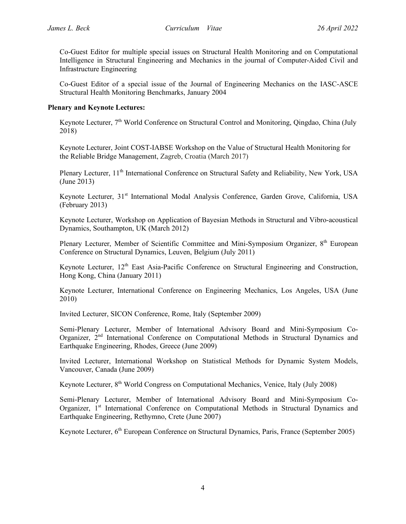Co-Guest Editor for multiple special issues on Structural Health Monitoring and on Computational Intelligence in Structural Engineering and Mechanics in the journal of Computer-Aided Civil and Infrastructure Engineering

Co-Guest Editor of a special issue of the Journal of Engineering Mechanics on the IASC-ASCE Structural Health Monitoring Benchmarks, January 2004

## **Plenary and Keynote Lectures:**

Keynote Lecturer, 7<sup>th</sup> World Conference on Structural Control and Monitoring, Qingdao, China (July 2018)

Keynote Lecturer, Joint COST-IABSE Workshop on the Value of Structural Health Monitoring for the Reliable Bridge Management, Zagreb, Croatia (March 2017)

Plenary Lecturer, 11<sup>th</sup> International Conference on Structural Safety and Reliability, New York, USA (June 2013)

Keynote Lecturer, 31<sup>st</sup> International Modal Analysis Conference, Garden Grove, California, USA (February 2013)

Keynote Lecturer, Workshop on Application of Bayesian Methods in Structural and Vibro-acoustical Dynamics, Southampton, UK (March 2012)

Plenary Lecturer, Member of Scientific Committee and Mini-Symposium Organizer, 8<sup>th</sup> European Conference on Structural Dynamics, Leuven, Belgium (July 2011)

Keynote Lecturer, 12<sup>th</sup> East Asia-Pacific Conference on Structural Engineering and Construction, Hong Kong, China (January 2011)

Keynote Lecturer, International Conference on Engineering Mechanics, Los Angeles, USA (June 2010)

Invited Lecturer, SICON Conference, Rome, Italy (September 2009)

Semi-Plenary Lecturer, Member of International Advisory Board and Mini-Symposium Co-Organizer, 2nd International Conference on Computational Methods in Structural Dynamics and Earthquake Engineering, Rhodes, Greece (June 2009)

Invited Lecturer, International Workshop on Statistical Methods for Dynamic System Models, Vancouver, Canada (June 2009)

Keynote Lecturer, 8<sup>th</sup> World Congress on Computational Mechanics, Venice, Italy (July 2008)

Semi-Plenary Lecturer, Member of International Advisory Board and Mini-Symposium Co-Organizer, 1<sup>st</sup> International Conference on Computational Methods in Structural Dynamics and Earthquake Engineering, Rethymno, Crete (June 2007)

Keynote Lecturer, 6<sup>th</sup> European Conference on Structural Dynamics, Paris, France (September 2005)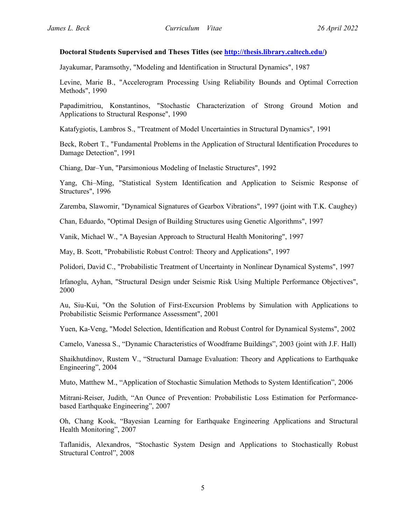### **Doctoral Students Supervised and Theses Titles (see http://thesis.library.caltech.edu/)**

Jayakumar, Paramsothy, "Modeling and Identification in Structural Dynamics", 1987

Levine, Marie B., "Accelerogram Processing Using Reliability Bounds and Optimal Correction Methods", 1990

Papadimitriou, Konstantinos, "Stochastic Characterization of Strong Ground Motion and Applications to Structural Response", 1990

Katafygiotis, Lambros S., "Treatment of Model Uncertainties in Structural Dynamics", 1991

Beck, Robert T., "Fundamental Problems in the Application of Structural Identification Procedures to Damage Detection", 1991

Chiang, Dar–Yun, "Parsimonious Modeling of Inelastic Structures", 1992

Yang, Chi–Ming, "Statistical System Identification and Application to Seismic Response of Structures", 1996

Zaremba, Slawomir, "Dynamical Signatures of Gearbox Vibrations", 1997 (joint with T.K. Caughey)

Chan, Eduardo, "Optimal Design of Building Structures using Genetic Algorithms", 1997

Vanik, Michael W., "A Bayesian Approach to Structural Health Monitoring", 1997

May, B. Scott, "Probabilistic Robust Control: Theory and Applications", 1997

Polidori, David C., "Probabilistic Treatment of Uncertainty in Nonlinear Dynamical Systems", 1997

Irfanoglu, Ayhan, "Structural Design under Seismic Risk Using Multiple Performance Objectives", 2000

Au, Siu-Kui, "On the Solution of First-Excursion Problems by Simulation with Applications to Probabilistic Seismic Performance Assessment", 2001

Yuen, Ka-Veng, "Model Selection, Identification and Robust Control for Dynamical Systems", 2002

Camelo, Vanessa S., "Dynamic Characteristics of Woodframe Buildings", 2003 (joint with J.F. Hall)

Shaikhutdinov, Rustem V., "Structural Damage Evaluation: Theory and Applications to Earthquake Engineering", 2004

Muto, Matthew M., "Application of Stochastic Simulation Methods to System Identification", 2006

Mitrani-Reiser, Judith, "An Ounce of Prevention: Probabilistic Loss Estimation for Performancebased Earthquake Engineering", 2007

Oh, Chang Kook, "Bayesian Learning for Earthquake Engineering Applications and Structural Health Monitoring", 2007

Taflanidis, Alexandros, "Stochastic System Design and Applications to Stochastically Robust Structural Control", 2008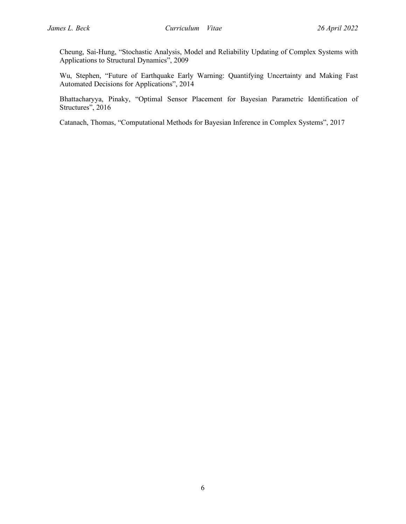Cheung, Sai-Hung, "Stochastic Analysis, Model and Reliability Updating of Complex Systems with Applications to Structural Dynamics", 2009

Wu, Stephen, "Future of Earthquake Early Warning: Quantifying Uncertainty and Making Fast Automated Decisions for Applications", 2014

Bhattacharyya, Pinaky, "Optimal Sensor Placement for Bayesian Parametric Identification of Structures", 2016

Catanach, Thomas, "Computational Methods for Bayesian Inference in Complex Systems", 2017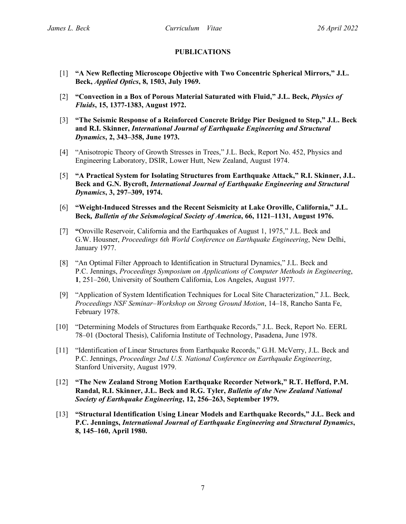## **PUBLICATIONS**

- [1] **"A New Reflecting Microscope Objective with Two Concentric Spherical Mirrors," J.L. Beck,** *Applied Optics***, 8, 1503, July 1969.**
- [2] **"Convection in a Box of Porous Material Saturated with Fluid," J.L. Beck,** *Physics of Fluids***, 15, 1377-1383, August 1972.**
- [3] **"The Seismic Response of a Reinforced Concrete Bridge Pier Designed to Step," J.L. Beck and R.I. Skinner,** *International Journal of Earthquake Engineering and Structural Dynamics***, 2, 343–358, June 1973.**
- [4] "Anisotropic Theory of Growth Stresses in Trees," J.L. Beck, Report No. 452, Physics and Engineering Laboratory, DSIR, Lower Hutt, New Zealand, August 1974.
- [5] **"A Practical System for Isolating Structures from Earthquake Attack," R.I. Skinner, J.L. Beck and G.N. Bycroft,** *International Journal of Earthquake Engineering and Structural Dynamics***, 3, 297–309, 1974.**
- [6] **"Weight-Induced Stresses and the Recent Seismicity at Lake Oroville, California," J.L. Beck***, Bulletin of the Seismological Society of America***, 66, 1121–1131, August 1976.**
- [7] **"**Oroville Reservoir, California and the Earthquakes of August 1, 1975," J.L. Beck and G.W. Housner, *Proceedings 6th World Conference on Earthquake Engineering*, New Delhi, January 1977.
- [8] "An Optimal Filter Approach to Identification in Structural Dynamics," J.L. Beck and P.C. Jennings, *Proceedings Symposium on Applications of Computer Methods in Engineering*, **1**, 251–260, University of Southern California, Los Angeles, August 1977.
- [9] "Application of System Identification Techniques for Local Site Characterization," J.L. Beck*, Proceedings NSF Seminar–Workshop on Strong Ground Motion*, 14–18, Rancho Santa Fe, February 1978.
- [10] "Determining Models of Structures from Earthquake Records," J.L. Beck, Report No. EERL 78–01 (Doctoral Thesis), California Institute of Technology, Pasadena, June 1978.
- [11] "Identification of Linear Structures from Earthquake Records," G.H. McVerry, J.L. Beck and P.C. Jennings, *Proceedings 2nd U.S. National Conference on Earthquake Engineering*, Stanford University, August 1979.
- [12] **"The New Zealand Strong Motion Earthquake Recorder Network," R.T. Hefford, P.M. Randal, R.I. Skinner, J.L. Beck and R.G. Tyler,** *Bulletin of the New Zealand National Society of Earthquake Engineering***, 12, 256–263, September 1979.**
- [13] **"Structural Identification Using Linear Models and Earthquake Records," J.L. Beck and P.C. Jennings,** *International Journal of Earthquake Engineering and Structural Dynamics***, 8, 145–160, April 1980.**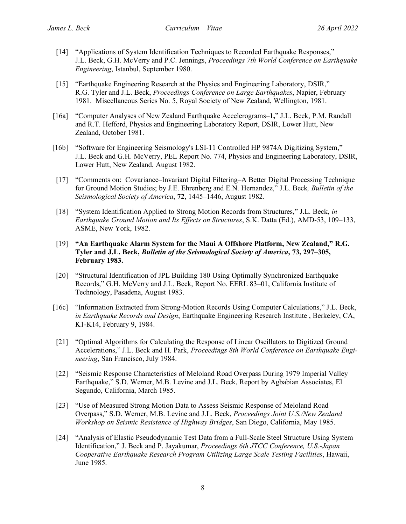- [14] "Applications of System Identification Techniques to Recorded Earthquake Responses," J.L. Beck, G.H. McVerry and P.C. Jennings, *Proceedings 7th World Conference on Earthquake Engineering*, Istanbul, September 1980.
- [15] "Earthquake Engineering Research at the Physics and Engineering Laboratory, DSIR," R.G. Tyler and J.L. Beck, *Proceedings Conference on Large Earthquakes*, Napier, February 1981. Miscellaneous Series No. 5, Royal Society of New Zealand, Wellington, 1981.
- [16a] "Computer Analyses of New Zealand Earthquake Accelerograms–**1,**" J.L. Beck, P.M. Randall and R.T. Hefford, Physics and Engineering Laboratory Report, DSIR, Lower Hutt, New Zealand, October 1981.
- [16b] "Software for Engineering Seismology's LSI-11 Controlled HP 9874A Digitizing System," J.L. Beck and G.H. McVerry, PEL Report No. 774, Physics and Engineering Laboratory, DSIR, Lower Hutt, New Zealand, August 1982.
- [17] "Comments on: Covariance–Invariant Digital Filtering–A Better Digital Processing Technique for Ground Motion Studies; by J.E. Ehrenberg and E.N. Hernandez," J.L. Beck*, Bulletin of the Seismological Society of America*, **72**, 1445–1446, August 1982.
- [18] "System Identification Applied to Strong Motion Records from Structures," J.L. Beck, *in Earthquake Ground Motion and Its Effects on Structures*, S.K. Datta (Ed.), AMD-53, 109–133, ASME, New York, 1982.
- [19] **"An Earthquake Alarm System for the Maui A Offshore Platform, New Zealand," R.G. Tyler and J.L. Beck,** *Bulletin of the Seismological Society of America***, 73, 297–305, February 1983.**
- [20] "Structural Identification of JPL Building 180 Using Optimally Synchronized Earthquake Records," G.H. McVerry and J.L. Beck, Report No. EERL 83–01, California Institute of Technology, Pasadena, August 1983.
- [16c] "Information Extracted from Strong-Motion Records Using Computer Calculations," J.L. Beck, *in Earthquake Records and Design*, Earthquake Engineering Research Institute , Berkeley, CA, K1-K14, February 9, 1984.
- [21] "Optimal Algorithms for Calculating the Response of Linear Oscillators to Digitized Ground Accelerations," J.L. Beck and H. Park, *Proceedings 8th World Conference on Earthquake Engineering*, San Francisco, July 1984.
- [22] "Seismic Response Characteristics of Meloland Road Overpass During 1979 Imperial Valley Earthquake," S.D. Werner, M.B. Levine and J.L. Beck, Report by Agbabian Associates, El Segundo, California, March 1985.
- [23] "Use of Measured Strong Motion Data to Assess Seismic Response of Meloland Road Overpass," S.D. Werner, M.B. Levine and J.L. Beck, *Proceedings Joint U.S./New Zealand Workshop on Seismic Resistance of Highway Bridges*, San Diego, California, May 1985.
- [24] "Analysis of Elastic Pseudodynamic Test Data from a Full-Scale Steel Structure Using System Identification," J. Beck and P. Jayakumar, *Proceedings 6th JTCC Conference, U.S.-Japan Cooperative Earthquake Research Program Utilizing Large Scale Testing Facilities*, Hawaii, June 1985.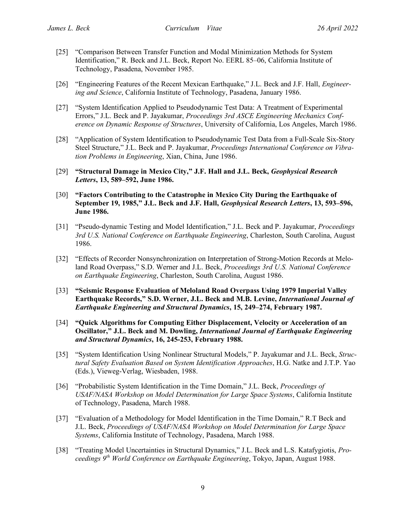- [25] "Comparison Between Transfer Function and Modal Minimization Methods for System Identification," R. Beck and J.L. Beck, Report No. EERL 85–06, California Institute of Technology, Pasadena, November 1985.
- [26] "Engineering Features of the Recent Mexican Earthquake," J.L. Beck and J.F. Hall, *Engineering and Science*, California Institute of Technology, Pasadena, January 1986.
- [27] "System Identification Applied to Pseudodynamic Test Data: A Treatment of Experimental Errors," J.L. Beck and P. Jayakumar, *Proceedings 3rd ASCE Engineering Mechanics Conference on Dynamic Response of Structures*, University of California, Los Angeles, March 1986.
- [28] "Application of System Identification to Pseudodynamic Test Data from a Full-Scale Six-Story Steel Structure," J.L. Beck and P. Jayakumar, *Proceedings International Conference on Vibration Problems in Engineering*, Xian, China, June 1986.
- [29] **"Structural Damage in Mexico City," J.F. Hall and J.L. Beck,** *Geophysical Research Letters***, 13, 589–592, June 1986.**
- [30] **"Factors Contributing to the Catastrophe in Mexico City During the Earthquake of September 19, 1985," J.L. Beck and J.F. Hall,** *Geophysical Research Letters***, 13, 593–596, June 1986.**
- [31] "Pseudo-dynamic Testing and Model Identification," J.L. Beck and P. Jayakumar, *Proceedings 3rd U.S. National Conference on Earthquake Engineering*, Charleston, South Carolina, August 1986.
- [32] "Effects of Recorder Nonsynchronization on Interpretation of Strong-Motion Records at Meloland Road Overpass," S.D. Werner and J.L. Beck, *Proceedings 3rd U.S. National Conference on Earthquake Engineering*, Charleston, South Carolina, August 1986.
- [33] **"Seismic Response Evaluation of Meloland Road Overpass Using 1979 Imperial Valley Earthquake Records," S.D. Werner, J.L. Beck and M.B. Levine,** *International Journal of Earthquake Engineering and Structural Dynamics***, 15, 249–274, February 1987.**
- [34] **"Quick Algorithms for Computing Either Displacement, Velocity or Acceleration of an Oscillator," J.L. Beck and M. Dowling,** *International Journal of Earthquake Engineering and Structural Dynamics***, 16, 245-253, February 1988.**
- [35] "System Identification Using Nonlinear Structural Models," P. Jayakumar and J.L. Beck, *Structural Safety Evaluation Based on System Identification Approaches*, H.G. Natke and J.T.P. Yao (Eds.), Vieweg-Verlag, Wiesbaden, 1988.
- [36] "Probabilistic System Identification in the Time Domain," J.L. Beck, *Proceedings of USAF/NASA Workshop on Model Determination for Large Space Systems*, California Institute of Technology, Pasadena, March 1988.
- [37] "Evaluation of a Methodology for Model Identification in the Time Domain," R.T Beck and J.L. Beck, *Proceedings of USAF/NASA Workshop on Model Determination for Large Space Systems*, California Institute of Technology, Pasadena, March 1988.
- [38] "Treating Model Uncertainties in Structural Dynamics," J.L. Beck and L.S. Katafygiotis, *Proceedings 9th World Conference on Earthquake Engineering*, Tokyo, Japan, August 1988.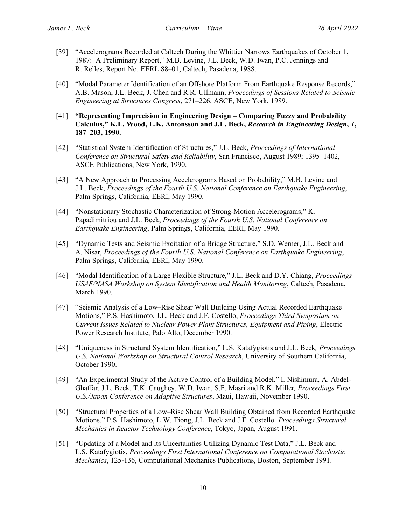- [39] "Accelerograms Recorded at Caltech During the Whittier Narrows Earthquakes of October 1, 1987: A Preliminary Report," M.B. Levine, J.L. Beck, W.D. Iwan, P.C. Jennings and R. Relles, Report No. EERL 88–01, Caltech, Pasadena, 1988.
- [40] "Modal Parameter Identification of an Offshore Platform From Earthquake Response Records," A.B. Mason, J.L. Beck, J. Chen and R.R. Ullmann, *Proceedings of Sessions Related to Seismic Engineering at Structures Congress*, 271–226, ASCE, New York, 1989.
- [41] **"Representing Imprecision in Engineering Design – Comparing Fuzzy and Probability Calculus," K.L. Wood, E.K. Antonsson and J.L. Beck,** *Research in Engineering Design***,** *1***, 187–203, 1990.**
- [42] "Statistical System Identification of Structures," J.L. Beck, *Proceedings of International Conference on Structural Safety and Reliability*, San Francisco, August 1989; 1395–1402, ASCE Publications, New York, 1990.
- [43] "A New Approach to Processing Accelerograms Based on Probability," M.B. Levine and J.L. Beck, *Proceedings of the Fourth U.S. National Conference on Earthquake Engineering*, Palm Springs, California, EERI, May 1990.
- [44] "Nonstationary Stochastic Characterization of Strong-Motion Accelerograms," K. Papadimitriou and J.L. Beck, *Proceedings of the Fourth U.S. National Conference on Earthquake Engineering*, Palm Springs, California, EERI, May 1990.
- [45] "Dynamic Tests and Seismic Excitation of a Bridge Structure," S.D. Werner, J.L. Beck and A. Nisar, *Proceedings of the Fourth U.S. National Conference on Earthquake Engineering*, Palm Springs, California, EERI, May 1990.
- [46] "Modal Identification of a Large Flexible Structure," J.L. Beck and D.Y. Chiang, *Proceedings USAF/NASA Workshop on System Identification and Health Monitoring*, Caltech, Pasadena, March 1990.
- [47] "Seismic Analysis of a Low–Rise Shear Wall Building Using Actual Recorded Earthquake Motions," P.S. Hashimoto, J.L. Beck and J.F. Costello, *Proceedings Third Symposium on Current Issues Related to Nuclear Power Plant Structures, Equipment and Piping*, Electric Power Research Institute, Palo Alto, December 1990.
- [48] "Uniqueness in Structural System Identification," L.S. Katafygiotis and J.L. Beck*, Proceedings U.S. National Workshop on Structural Control Research*, University of Southern California, October 1990.
- [49] "An Experimental Study of the Active Control of a Building Model," I. Nishimura, A. Abdel-Ghaffar, J.L. Beck, T.K. Caughey, W.D. Iwan, S.F. Masri and R.K. Miller*, Proceedings First U.S./Japan Conference on Adaptive Structures*, Maui, Hawaii, November 1990.
- [50] "Structural Properties of a Low–Rise Shear Wall Building Obtained from Recorded Earthquake Motions," P.S. Hashimoto, L.W. Tiong, J.L. Beck and J.F. Costello*, Proceedings Structural Mechanics in Reactor Technology Conference*, Tokyo, Japan, August 1991.
- [51] "Updating of a Model and its Uncertainties Utilizing Dynamic Test Data," J.L. Beck and L.S. Katafygiotis, *Proceedings First International Conference on Computational Stochastic Mechanics*, 125-136, Computational Mechanics Publications, Boston, September 1991.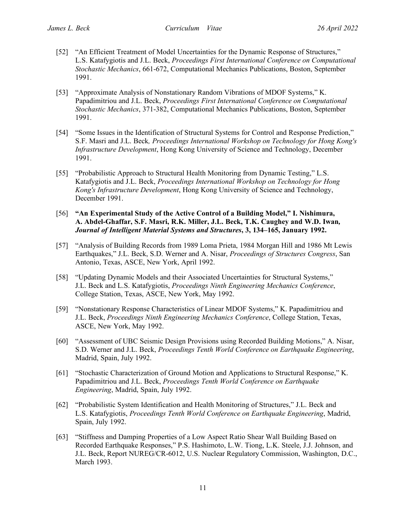- [52] "An Efficient Treatment of Model Uncertainties for the Dynamic Response of Structures," L.S. Katafygiotis and J.L. Beck, *Proceedings First International Conference on Computational Stochastic Mechanics*, 661-672, Computational Mechanics Publications, Boston, September 1991.
- [53] "Approximate Analysis of Nonstationary Random Vibrations of MDOF Systems," K. Papadimitriou and J.L. Beck, *Proceedings First International Conference on Computational Stochastic Mechanics*, 371-382, Computational Mechanics Publications, Boston, September 1991.
- [54] "Some Issues in the Identification of Structural Systems for Control and Response Prediction," S.F. Masri and J.L. Beck*, Proceedings International Workshop on Technology for Hong Kong's Infrastructure Development*, Hong Kong University of Science and Technology, December 1991.
- [55] "Probabilistic Approach to Structural Health Monitoring from Dynamic Testing," L.S. Katafygiotis and J.L. Beck, *Proceedings International Workshop on Technology for Hong Kong's Infrastructure Development*, Hong Kong University of Science and Technology, December 1991.
- [56] **"An Experimental Study of the Active Control of a Building Model," I. Nishimura, A. Abdel-Ghaffar, S.F. Masri, R.K. Miller, J.L. Beck, T.K. Caughey and W.D. Iwan***, Journal of Intelligent Material Systems and Structures***, 3, 134–165, January 1992.**
- [57] "Analysis of Building Records from 1989 Loma Prieta, 1984 Morgan Hill and 1986 Mt Lewis Earthquakes," J.L. Beck, S.D. Werner and A. Nisar, *Proceedings of Structures Congress*, San Antonio, Texas, ASCE, New York, April 1992.
- [58] "Updating Dynamic Models and their Associated Uncertainties for Structural Systems," J.L. Beck and L.S. Katafygiotis, *Proceedings Ninth Engineering Mechanics Conference*, College Station, Texas, ASCE, New York, May 1992.
- [59] "Nonstationary Response Characteristics of Linear MDOF Systems," K. Papadimitriou and J.L. Beck, *Proceedings Ninth Engineering Mechanics Conference*, College Station, Texas, ASCE, New York, May 1992.
- [60] "Assessment of UBC Seismic Design Provisions using Recorded Building Motions," A. Nisar, S.D. Werner and J.L. Beck, *Proceedings Tenth World Conference on Earthquake Engineering*, Madrid, Spain, July 1992.
- [61] "Stochastic Characterization of Ground Motion and Applications to Structural Response," K. Papadimitriou and J.L. Beck, *Proceedings Tenth World Conference on Earthquake Engineering*, Madrid, Spain, July 1992.
- [62] "Probabilistic System Identification and Health Monitoring of Structures," J.L. Beck and L.S. Katafygiotis, *Proceedings Tenth World Conference on Earthquake Engineering*, Madrid, Spain, July 1992.
- [63] "Stiffness and Damping Properties of a Low Aspect Ratio Shear Wall Building Based on Recorded Earthquake Responses," P.S. Hashimoto, L.W. Tiong, L.K. Steele, J.J. Johnson, and J.L. Beck, Report NUREG/CR-6012, U.S. Nuclear Regulatory Commission, Washington, D.C., March 1993.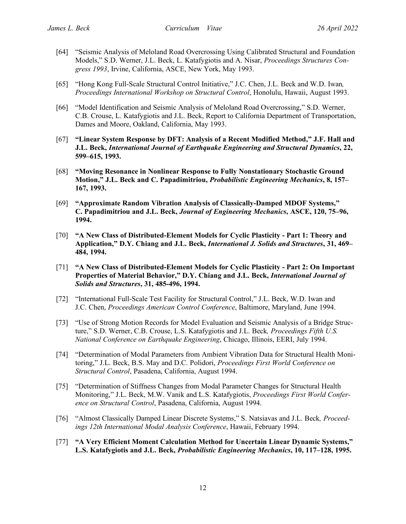- [64] "Seismic Analysis of Meloland Road Overcrossing Using Calibrated Structural and Foundation Models," S.D. Werner, J.L. Beck, L. Katafygiotis and A. Nisar, *Proceedings Structures Congress 1993*, Irvine, California, ASCE, New York, May 1993.
- [65] "Hong Kong Full-Scale Structural Control Initiative," J.C. Chen, J.L. Beck and W.D. Iwan*, Proceedings International Workshop on Structural Control*, Honolulu, Hawaii, August 1993.
- [66] "Model Identification and Seismic Analysis of Meloland Road Overcrossing," S.D. Werner, C.B. Crouse, L. Katafygiotis and J.L. Beck, Report to California Department of Transportation, Dames and Moore, Oakland, California, May 1993.
- [67] **"Linear System Response by DFT: Analysis of a Recent Modified Method," J.F. Hall and J.L. Beck,** *International Journal of Earthquake Engineering and Structural Dynamics***, 22, 599–615, 1993.**
- [68] **"Moving Resonance in Nonlinear Response to Fully Nonstationary Stochastic Ground Motion," J.L. Beck and C. Papadimitriou,** *Probabilistic Engineering Mechanics***, 8, 157– 167, 1993.**
- [69] **"Approximate Random Vibration Analysis of Classically-Damped MDOF Systems," C. Papadimitriou and J.L. Beck,** *Journal of Engineering Mechanics***, ASCE, 120, 75–96, 1994.**
- [70] **"A New Class of Distributed-Element Models for Cyclic Plasticity - Part 1: Theory and Application," D.Y. Chiang and J.L. Beck,** *International J. Solids and Structures***, 31, 469– 484, 1994.**
- [71] **"A New Class of Distributed-Element Models for Cyclic Plasticity - Part 2: On Important Properties of Material Behavior," D.Y. Chiang and J.L. Beck,** *International Journal of Solids and Structures***, 31, 485-496, 1994.**
- [72] "International Full-Scale Test Facility for Structural Control," J.L. Beck, W.D. Iwan and J.C. Chen, *Proceedings American Control Conference*, Baltimore, Maryland, June 1994.
- [73] "Use of Strong Motion Records for Model Evaluation and Seismic Analysis of a Bridge Structure," S.D. Werner, C.B. Crouse, L.S. Katafygiotis and J.L. Beck*, Proceedings Fifth U.S. National Conference on Earthquake Engineering*, Chicago, Illinois, EERI, July 1994.
- [74] "Determination of Modal Parameters from Ambient Vibration Data for Structural Health Monitoring," J.L. Beck, B.S. May and D.C. Polidori, *Proceedings First World Conference on Structural Control*, Pasadena, California, August 1994.
- [75] "Determination of Stiffness Changes from Modal Parameter Changes for Structural Health Monitoring," J.L. Beck, M.W. Vanik and L.S. Katafygiotis, *Proceedings First World Conference on Structural Control*, Pasadena, California, August 1994.
- [76] "Almost Classically Damped Linear Discrete Systems," S. Natsiavas and J.L. Beck*, Proceedings 12th International Modal Analysis Conference*, Hawaii, February 1994.
- [77] **"A Very Efficient Moment Calculation Method for Uncertain Linear Dynamic Systems," L.S. Katafygiotis and J.L. Beck,** *Probabilistic Engineering Mechanics***, 10, 117–128, 1995.**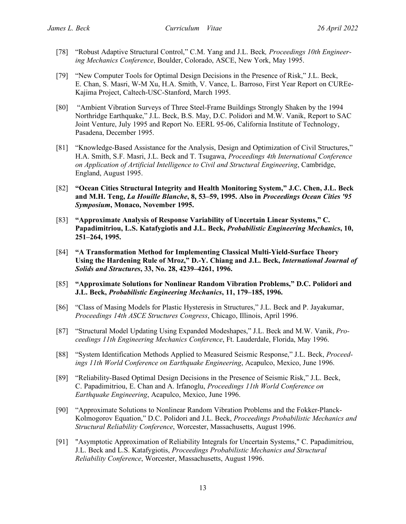- [78] "Robust Adaptive Structural Control," C.M. Yang and J.L. Beck*, Proceedings 10th Engineering Mechanics Conference*, Boulder, Colorado, ASCE, New York, May 1995.
- [79] "New Computer Tools for Optimal Design Decisions in the Presence of Risk," J.L. Beck, E. Chan, S. Masri, W-M Xu, H.A. Smith, V. Vance, L. Barroso, First Year Report on CUREe-Kajima Project, Caltech-USC-Stanford, March 1995.
- [80] "Ambient Vibration Surveys of Three Steel-Frame Buildings Strongly Shaken by the 1994 Northridge Earthquake," J.L. Beck, B.S. May, D.C. Polidori and M.W. Vanik, Report to SAC Joint Venture, July 1995 and Report No. EERL 95-06, California Institute of Technology, Pasadena, December 1995.
- [81] "Knowledge-Based Assistance for the Analysis, Design and Optimization of Civil Structures," H.A. Smith, S.F. Masri, J.L. Beck and T. Tsugawa, *Proceedings 4th International Conference on Application of Artificial Intelligence to Civil and Structural Engineering*, Cambridge, England, August 1995.
- [82] **"Ocean Cities Structural Integrity and Health Monitoring System," J.C. Chen, J.L. Beck and M.H. Teng,** *La Houille Blanche***, 8, 53–59, 1995. Also in** *Proceedings Ocean Cities '95 Symposium***, Monaco, November 1995.**
- [83] **"Approximate Analysis of Response Variability of Uncertain Linear Systems," C. Papadimitriou, L.S. Katafygiotis and J.L. Beck,** *Probabilistic Engineering Mechanics***, 10, 251–264, 1995.**
- [84] **"A Transformation Method for Implementing Classical Multi-Yield-Surface Theory Using the Hardening Rule of Mroz," D.-Y. Chiang and J.L. Beck,** *International Journal of Solids and Structures***, 33, No. 28, 4239–4261, 1996.**
- [85] **"Approximate Solutions for Nonlinear Random Vibration Problems," D.C. Polidori and J.L. Beck,** *Probabilistic Engineering Mechanics***, 11, 179–185, 1996.**
- [86] "Class of Masing Models for Plastic Hysteresis in Structures," J.L. Beck and P. Jayakumar, *Proceedings 14th ASCE Structures Congress*, Chicago, Illinois, April 1996.
- [87] "Structural Model Updating Using Expanded Modeshapes," J.L. Beck and M.W. Vanik, *Proceedings 11th Engineering Mechanics Conference*, Ft. Lauderdale, Florida, May 1996.
- [88] "System Identification Methods Applied to Measured Seismic Response," J.L. Beck, *Proceedings 11th World Conference on Earthquake Engineering*, Acapulco, Mexico, June 1996.
- [89] "Reliability-Based Optimal Design Decisions in the Presence of Seismic Risk," J.L. Beck, C. Papadimitriou, E. Chan and A. Irfanoglu, *Proceedings 11th World Conference on Earthquake Engineering*, Acapulco, Mexico, June 1996.
- [90] "Approximate Solutions to Nonlinear Random Vibration Problems and the Fokker-Planck-Kolmogorov Equation," D.C. Polidori and J.L. Beck, *Proceedings Probabilistic Mechanics and Structural Reliability Conference*, Worcester, Massachusetts, August 1996.
- [91] "Asymptotic Approximation of Reliability Integrals for Uncertain Systems," C. Papadimitriou, J.L. Beck and L.S. Katafygiotis, *Proceedings Probabilistic Mechanics and Structural Reliability Conference*, Worcester, Massachusetts, August 1996.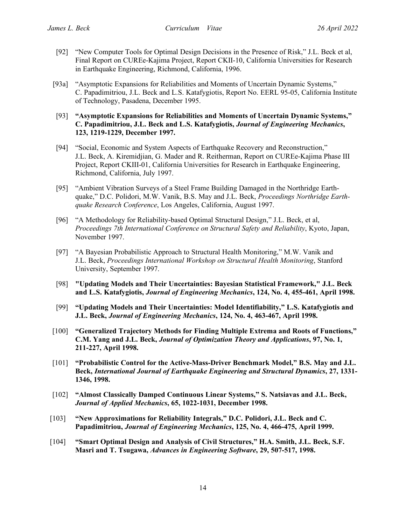- [92] "New Computer Tools for Optimal Design Decisions in the Presence of Risk," J.L. Beck et al, Final Report on CUREe-Kajima Project, Report CKII-10, California Universities for Research in Earthquake Engineering, Richmond, California, 1996.
- [93a] "Asymptotic Expansions for Reliabilities and Moments of Uncertain Dynamic Systems," C. Papadimitriou, J.L. Beck and L.S. Katafygiotis, Report No. EERL 95-05, California Institute of Technology, Pasadena, December 1995.
- [93] **"Asymptotic Expansions for Reliabilities and Moments of Uncertain Dynamic Systems," C. Papadimitriou, J.L. Beck and L.S. Katafygiotis,** *Journal of Engineering Mechanics***, 123, 1219-1229, December 1997.**
- [94] "Social, Economic and System Aspects of Earthquake Recovery and Reconstruction," J.L. Beck, A. Kiremidjian, G. Mader and R. Reitherman, Report on CUREe-Kajima Phase III Project, Report CKIII-01, California Universities for Research in Earthquake Engineering, Richmond, California, July 1997.
- [95] "Ambient Vibration Surveys of a Steel Frame Building Damaged in the Northridge Earthquake," D.C. Polidori, M.W. Vanik, B.S. May and J.L. Beck, *Proceedings Northridge Earthquake Research Conference*, Los Angeles, California, August 1997.
- [96] "A Methodology for Reliability-based Optimal Structural Design," J.L. Beck, et al, *Proceedings 7th International Conference on Structural Safety and Reliability*, Kyoto, Japan, November 1997.
- [97] "A Bayesian Probabilistic Approach to Structural Health Monitoring," M.W. Vanik and J.L. Beck, *Proceedings International Workshop on Structural Health Monitoring*, Stanford University, September 1997.
- [98] **"Updating Models and Their Uncertainties: Bayesian Statistical Framework," J.L. Beck and L.S. Katafygiotis,** *Journal of Engineering Mechanics***, 124, No. 4, 455-461, April 1998.**
- [99] **"Updating Models and Their Uncertainties: Model Identifiability," L.S. Katafygiotis and J.L. Beck,** *Journal of Engineering Mechanics***, 124, No. 4, 463-467, April 1998.**
- [100] **"Generalized Trajectory Methods for Finding Multiple Extrema and Roots of Functions," C.M. Yang and J.L. Beck,** *Journal of Optimization Theory and Applications***, 97, No. 1, 211-227, April 1998.**
- [101] **"Probabilistic Control for the Active-Mass-Driver Benchmark Model," B.S. May and J.L. Beck,** *International Journal of Earthquake Engineering and Structural Dynamics***, 27, 1331- 1346, 1998.**
- [102] **"Almost Classically Damped Continuous Linear Systems," S. Natsiavas and J.L. Beck,**  *Journal of Applied Mechanics***, 65, 1022-1031, December 1998.**
- [103] **"New Approximations for Reliability Integrals," D.C. Polidori, J.L. Beck and C. Papadimitriou,** *Journal of Engineering Mechanics***, 125, No. 4, 466-475, April 1999.**
- [104] **"Smart Optimal Design and Analysis of Civil Structures," H.A. Smith, J.L. Beck, S.F. Masri and T. Tsugawa,** *Advances in Engineering Software***, 29, 507-517, 1998.**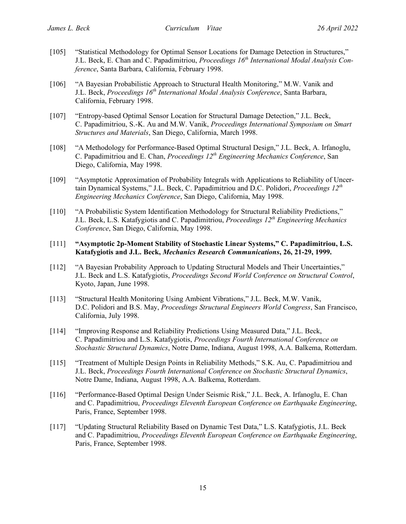- [105] "Statistical Methodology for Optimal Sensor Locations for Damage Detection in Structures," J.L. Beck, E. Chan and C. Papadimitriou, *Proceedings 16th International Modal Analysis Conference*, Santa Barbara, California, February 1998.
- [106] "A Bayesian Probabilistic Approach to Structural Health Monitoring," M.W. Vanik and J.L. Beck, *Proceedings 16th International Modal Analysis Conference*, Santa Barbara, California, February 1998.
- [107] "Entropy-based Optimal Sensor Location for Structural Damage Detection," J.L. Beck, C. Papadimitriou, S.-K. Au and M.W. Vanik, *Proceedings International Symposium on Smart Structures and Materials*, San Diego, California, March 1998.
- [108] "A Methodology for Performance-Based Optimal Structural Design," J.L. Beck, A. Irfanoglu, C. Papadimitriou and E. Chan, *Proceedings 12th Engineering Mechanics Conference*, San Diego, California, May 1998.
- [109] "Asymptotic Approximation of Probability Integrals with Applications to Reliability of Uncertain Dynamical Systems," J.L. Beck, C. Papadimitriou and D.C. Polidori, *Proceedings 12<sup>th</sup> Engineering Mechanics Conference*, San Diego, California, May 1998.
- [110] "A Probabilistic System Identification Methodology for Structural Reliability Predictions," J.L. Beck, L.S. Katafygiotis and C. Papadimitriou, *Proceedings 12th Engineering Mechanics Conference*, San Diego, California, May 1998.
- [111] **"Asymptotic 2p-Moment Stability of Stochastic Linear Systems," C. Papadimitriou, L.S. Katafygiotis and J.L. Beck,** *Mechanics Research Communications***, 26, 21-29, 1999.**
- [112] "A Bayesian Probability Approach to Updating Structural Models and Their Uncertainties," J.L. Beck and L.S. Katafygiotis, *Proceedings Second World Conference on Structural Control*, Kyoto, Japan, June 1998.
- [113] "Structural Health Monitoring Using Ambient Vibrations," J.L. Beck, M.W. Vanik, D.C. Polidori and B.S. May, *Proceedings Structural Engineers World Congress*, San Francisco, California, July 1998.
- [114] "Improving Response and Reliability Predictions Using Measured Data," J.L. Beck, C. Papadimitriou and L.S. Katafygiotis, *Proceedings Fourth International Conference on Stochastic Structural Dynamics*, Notre Dame, Indiana, August 1998, A.A. Balkema, Rotterdam.
- [115] "Treatment of Multiple Design Points in Reliability Methods," S.K. Au, C. Papadimitriou and J.L. Beck, *Proceedings Fourth International Conference on Stochastic Structural Dynamics*, Notre Dame, Indiana, August 1998, A.A. Balkema, Rotterdam.
- [116] "Performance-Based Optimal Design Under Seismic Risk," J.L. Beck, A. Irfanoglu, E. Chan and C. Papadimitriou, *Proceedings Eleventh European Conference on Earthquake Engineering*, Paris, France, September 1998.
- [117] "Updating Structural Reliability Based on Dynamic Test Data," L.S. Katafygiotis, J.L. Beck and C. Papadimitriou, *Proceedings Eleventh European Conference on Earthquake Engineering*, Paris, France, September 1998.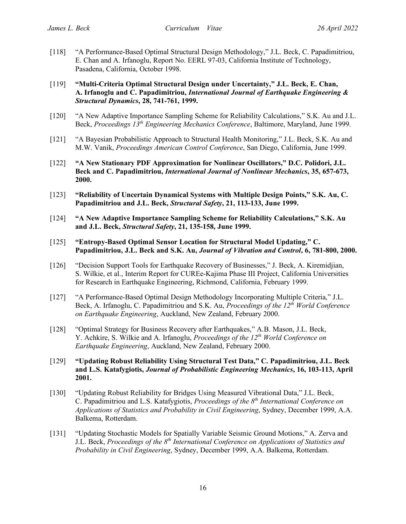[118] "A Performance-Based Optimal Structural Design Methodology," J.L. Beck, C. Papadimitriou, E. Chan and A. Irfanoglu, Report No. EERL 97-03, California Institute of Technology, Pasadena, California, October 1998.

[119] **"Multi-Criteria Optimal Structural Design under Uncertainty," J.L. Beck, E. Chan, A. Irfanoglu and C. Papadimitriou,** *International Journal of Earthquake Engineering & Structural Dynamics***, 28, 741-761, 1999.**

- [120] "A New Adaptive Importance Sampling Scheme for Reliability Calculations," S.K. Au and J.L. Beck, *Proceedings 13th Engineering Mechanics Conference*, Baltimore, Maryland, June 1999.
- [121] "A Bayesian Probabilistic Approach to Structural Health Monitoring," J.L. Beck, S.K. Au and M.W. Vanik, *Proceedings American Control Conference*, San Diego, California, June 1999.
- [122] **"A New Stationary PDF Approximation for Nonlinear Oscillators," D.C. Polidori, J.L. Beck and C. Papadimitriou,** *International Journal of Nonlinear Mechanics***, 35, 657-673, 2000.**
- [123] **"Reliability of Uncertain Dynamical Systems with Multiple Design Points," S.K. Au, C. Papadimitriou and J.L. Beck,** *Structural Safety***, 21, 113-133, June 1999.**
- [124] **"A New Adaptive Importance Sampling Scheme for Reliability Calculations," S.K. Au and J.L. Beck,** *Structural Safety***, 21, 135-158, June 1999.**
- [125] **"Entropy-Based Optimal Sensor Location for Structural Model Updating," C. Papadimitriou, J.L. Beck and S.K. Au,** *Journal of Vibration and Control***, 6, 781-800, 2000.**
- [126] "Decision Support Tools for Earthquake Recovery of Businesses," J. Beck, A. Kiremidjian, S. Wilkie, et al., Interim Report for CUREe-Kajima Phase III Project, California Universities for Research in Earthquake Engineering, Richmond, California, February 1999.
- [127] "A Performance-Based Optimal Design Methodology Incorporating Multiple Criteria," J.L. Beck, A. Irfanoglu, C. Papadimitriou and S.K. Au, *Proceedings of the 12th World Conference on Earthquake Engineering*, Auckland, New Zealand, February 2000.
- [128] "Optimal Strategy for Business Recovery after Earthquakes," A.B. Mason, J.L. Beck, Y. Achkire, S. Wilkie and A. Irfanoglu, *Proceedings of the 12th World Conference on Earthquake Engineering*, Auckland, New Zealand, February 2000.
- [129] **"Updating Robust Reliability Using Structural Test Data," C. Papadimitriou, J.L. Beck and L.S. Katafygiotis,** *Journal of Probabilistic Engineering Mechanics***, 16, 103-113, April 2001.**
- [130] "Updating Robust Reliability for Bridges Using Measured Vibrational Data," J.L. Beck, C. Papadimitriou and L.S. Katafygiotis, *Proceedings of the 8th International Conference on Applications of Statistics and Probability in Civil Engineering*, Sydney, December 1999, A.A. Balkema, Rotterdam.
- [131] "Updating Stochastic Models for Spatially Variable Seismic Ground Motions," A. Zerva and J.L. Beck, *Proceedings of the 8th International Conference on Applications of Statistics and Probability in Civil Engineering*, Sydney, December 1999, A.A. Balkema, Rotterdam.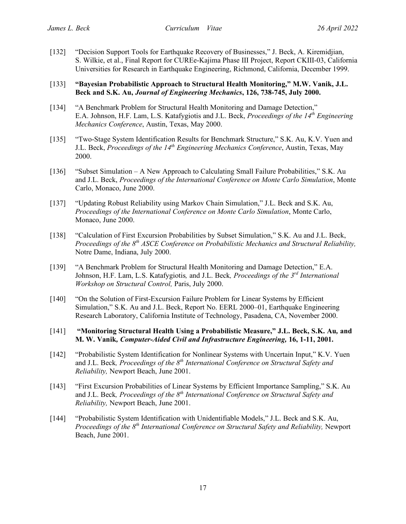[132] "Decision Support Tools for Earthquake Recovery of Businesses," J. Beck, A. Kiremidjian, S. Wilkie, et al., Final Report for CUREe-Kajima Phase III Project, Report CKIII-03, California Universities for Research in Earthquake Engineering, Richmond, California, December 1999.

## [133] **"Bayesian Probabilistic Approach to Structural Health Monitoring," M.W. Vanik, J.L. Beck and S.K. Au,** *Journal of Engineering Mechanics***, 126, 738-745, July 2000.**

- [134] "A Benchmark Problem for Structural Health Monitoring and Damage Detection," E.A. Johnson, H.F. Lam, L.S. Katafygiotis and J.L. Beck, *Proceedings of the 14th Engineering Mechanics Conference*, Austin, Texas, May 2000.
- [135] "Two-Stage System Identification Results for Benchmark Structure," S.K. Au, K.V. Yuen and J.L. Beck, *Proceedings of the 14th Engineering Mechanics Conference*, Austin, Texas, May 2000.
- [136] "Subset Simulation A New Approach to Calculating Small Failure Probabilities," S.K. Au and J.L. Beck, *Proceedings of the International Conference on Monte Carlo Simulation*, Monte Carlo, Monaco, June 2000.
- [137] "Updating Robust Reliability using Markov Chain Simulation," J.L. Beck and S.K. Au, *Proceedings of the International Conference on Monte Carlo Simulation*, Monte Carlo, Monaco, June 2000.
- [138] "Calculation of First Excursion Probabilities by Subset Simulation," S.K. Au and J.L. Beck, *Proceedings of the 8th ASCE Conference on Probabilistic Mechanics and Structural Reliability,* Notre Dame, Indiana, July 2000.
- [139] "A Benchmark Problem for Structural Health Monitoring and Damage Detection," E.A. Johnson, H.F. Lam, L.S. Katafygiotis*,* and J.L. Beck*, Proceedings of the 3rd International Workshop on Structural Control,* Paris, July 2000.
- [140] "On the Solution of First-Excursion Failure Problem for Linear Systems by Efficient Simulation," S.K. Au and J.L. Beck, Report No. EERL 2000–01, Earthquake Engineering Research Laboratory, California Institute of Technology, Pasadena, CA, November 2000.
- [141] **"Monitoring Structural Health Using a Probabilistic Measure," J.L. Beck, S.K. Au***,* **and M. W. Vanik***, Computer-Aided Civil and Infrastructure Engineering,* **16, 1-11, 2001.**
- [142] "Probabilistic System Identification for Nonlinear Systems with Uncertain Input," K.V. Yuen and J.L. Beck, *Proceedings of the 8<sup>th</sup> International Conference on Structural Safety and Reliability,* Newport Beach, June 2001.
- [143] "First Excursion Probabilities of Linear Systems by Efficient Importance Sampling," S.K. Au and J.L. Beck*, Proceedings of the 8th International Conference on Structural Safety and Reliability,* Newport Beach, June 2001.
- [144] "Probabilistic System Identification with Unidentifiable Models," J.L. Beck and S.K. Au, *Proceedings of the 8th International Conference on Structural Safety and Reliability,* Newport Beach, June 2001.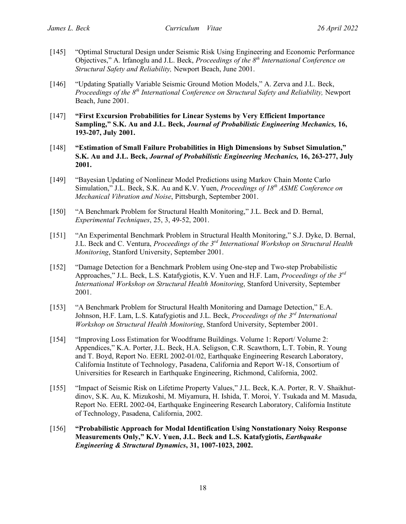- [145] "Optimal Structural Design under Seismic Risk Using Engineering and Economic Performance Objectives," A. Irfanoglu and J.L. Beck, *Proceedings of the 8th International Conference on Structural Safety and Reliability,* Newport Beach, June 2001.
- [146] "Updating Spatially Variable Seismic Ground Motion Models," A. Zerva and J.L. Beck, *Proceedings of the 8th International Conference on Structural Safety and Reliability,* Newport Beach, June 2001.
- [147] **"First Excursion Probabilities for Linear Systems by Very Efficient Importance Sampling," S.K. Au and J.L. Beck,** *Journal of Probabilistic Engineering Mechanics,* **16, 193-207, July 2001.**
- [148] **"Estimation of Small Failure Probabilities in High Dimensions by Subset Simulation," S.K. Au and J.L. Beck,** *Journal of Probabilistic Engineering Mechanics,* **16, 263-277, July 2001.**
- [149] "Bayesian Updating of Nonlinear Model Predictions using Markov Chain Monte Carlo Simulation," J.L. Beck, S.K. Au and K.V. Yuen, *Proceedings of 18th ASME Conference on Mechanical Vibration and Noise*, Pittsburgh, September 2001.
- [150] "A Benchmark Problem for Structural Health Monitoring," J.L. Beck and D. Bernal, *Experimental Techniques*, 25, 3, 49-52, 2001.
- [151] "An Experimental Benchmark Problem in Structural Health Monitoring," S.J. Dyke, D. Bernal, J.L. Beck and C. Ventura, *Proceedings of the 3rd International Workshop on Structural Health Monitoring*, Stanford University, September 2001.
- [152] "Damage Detection for a Benchmark Problem using One-step and Two-step Probabilistic Approaches," J.L. Beck, L.S. Katafygiotis, K.V. Yuen and H.F. Lam, *Proceedings of the 3rd International Workshop on Structural Health Monitoring*, Stanford University, September 2001.
- [153] "A Benchmark Problem for Structural Health Monitoring and Damage Detection," E.A. Johnson, H.F. Lam, L.S. Katafygiotis and J.L. Beck, *Proceedings of the 3rd International Workshop on Structural Health Monitoring*, Stanford University, September 2001.
- [154] "Improving Loss Estimation for Woodframe Buildings. Volume 1: Report/ Volume 2: Appendices," K.A. Porter, J.L. Beck, H.A. Seligson, C.R. Scawthorn, L.T. Tobin, R. Young and T. Boyd, Report No. EERL 2002-01/02, Earthquake Engineering Research Laboratory, California Institute of Technology, Pasadena, California and Report W-18, Consortium of Universities for Research in Earthquake Engineering, Richmond, California, 2002.
- [155] "Impact of Seismic Risk on Lifetime Property Values," J.L. Beck, K.A. Porter, R. V. Shaikhutdinov, S.K. Au, K. Mizukoshi, M. Miyamura, H. Ishida, T. Moroi, Y. Tsukada and M. Masuda, Report No. EERL 2002-04, Earthquake Engineering Research Laboratory, California Institute of Technology, Pasadena, California, 2002.
- [156] **"Probabilistic Approach for Modal Identification Using Nonstationary Noisy Response Measurements Only," K.V. Yuen, J.L. Beck and L.S. Katafygiotis,** *Earthquake Engineering & Structural Dynamics***, 31, 1007-1023, 2002.**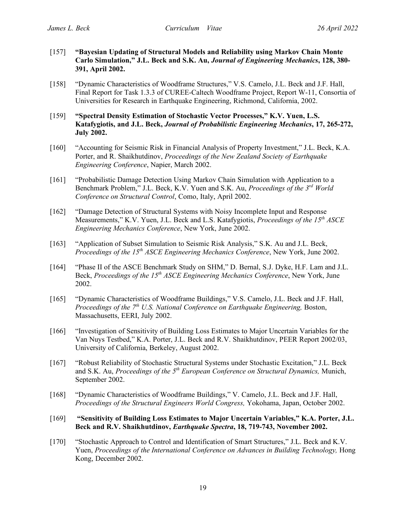- [157] **"Bayesian Updating of Structural Models and Reliability using Markov Chain Monte Carlo Simulation," J.L. Beck and S.K. Au,** *Journal of Engineering Mechanics***, 128, 380- 391, April 2002.**
- [158] "Dynamic Characteristics of Woodframe Structures," V.S. Camelo, J.L. Beck and J.F. Hall, Final Report for Task 1.3.3 of CUREE-Caltech Woodframe Project, Report W-11, Consortia of Universities for Research in Earthquake Engineering, Richmond, California, 2002.
- [159] **"Spectral Density Estimation of Stochastic Vector Processes," K.V. Yuen, L.S. Katafygiotis, and J.L. Beck,** *Journal of Probabilistic Engineering Mechanics***, 17, 265-272, July 2002.**
- [160] "Accounting for Seismic Risk in Financial Analysis of Property Investment," J.L. Beck, K.A. Porter, and R. Shaikhutdinov, *Proceedings of the New Zealand Society of Earthquake Engineering Conference*, Napier, March 2002.
- [161] "Probabilistic Damage Detection Using Markov Chain Simulation with Application to a Benchmark Problem," J.L. Beck, K.V. Yuen and S.K. Au, *Proceedings of the 3rd World Conference on Structural Control*, Como, Italy, April 2002.
- [162] "Damage Detection of Structural Systems with Noisy Incomplete Input and Response Measurements," K.V. Yuen, J.L. Beck and L.S. Katafygiotis, *Proceedings of the 15th ASCE Engineering Mechanics Conference*, New York, June 2002.
- [163] "Application of Subset Simulation to Seismic Risk Analysis," S.K. Au and J.L. Beck, *Proceedings of the 15th ASCE Engineering Mechanics Conference*, New York, June 2002.
- [164] "Phase II of the ASCE Benchmark Study on SHM," D. Bernal, S.J. Dyke, H.F. Lam and J.L. Beck, *Proceedings of the 15<sup>th</sup> ASCE Engineering Mechanics Conference*, New York, June 2002.
- [165] "Dynamic Characteristics of Woodframe Buildings," V.S. Camelo, J.L. Beck and J.F. Hall, *Proceedings of the 7th U.S. National Conference on Earthquake Engineering,* Boston, Massachusetts, EERI, July 2002.
- [166] "Investigation of Sensitivity of Building Loss Estimates to Major Uncertain Variables for the Van Nuys Testbed," K.A. Porter, J.L. Beck and R.V. Shaikhutdinov, PEER Report 2002/03, University of California, Berkeley, August 2002.
- [167] "Robust Reliability of Stochastic Structural Systems under Stochastic Excitation," J.L. Beck and S.K. Au, *Proceedings of the 5<sup>th</sup> European Conference on Structural Dynamics*, Munich, September 2002.
- [168] "Dynamic Characteristics of Woodframe Buildings," V. Camelo, J.L. Beck and J.F. Hall, *Proceedings of the Structural Engineers World Congress,* Yokohama, Japan, October 2002.
- [169] **"Sensitivity of Building Loss Estimates to Major Uncertain Variables," K.A. Porter, J.L. Beck and R.V. Shaikhutdinov,** *Earthquake Spectra***, 18, 719-743, November 2002.**
- [170] "Stochastic Approach to Control and Identification of Smart Structures," J.L. Beck and K.V. Yuen, *Proceedings of the International Conference on Advances in Building Technology,* Hong Kong, December 2002.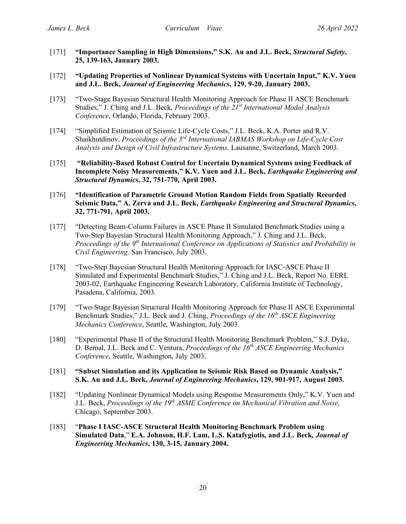- [171] **"Importance Sampling in High Dimensions," S.K. Au and J.L. Beck,** *Structural Safety***, 25, 139-163, January 2003.**
- [172] **"Updating Properties of Nonlinear Dynamical Systems with Uncertain Input," K.V. Yuen and J.L. Beck,** *Journal of Engineering Mechanics***, 129, 9-20, January 2003.**
- [173] "Two-Stage Bayesian Structural Health Monitoring Approach for Phase II ASCE Benchmark Studies," J. Ching and J.L. Beck, *Proceedings of the 21st International Modal Analysis Conference*, Orlando, Florida, February 2003.
- [174] "Simplified Estimation of Seismic Life-Cycle Costs," J.L. Beck, K.A. Porter and R.V. Shaikhutdinov, *Proceedings of the 3rd International IABMAS Workshop on Life-Cycle Cost Analysis and Design of Civil Infrastructure Systems,* Lausanne, Switzerland, March 2003.
- [175] **"Reliability-Based Robust Control for Uncertain Dynamical Systems using Feedback of Incomplete Noisy Measurements," K.V. Yuen and J.L. Beck,** *Earthquake Engineering and Structural Dynamics***, 32, 751-770, April 2003.**
- [176] **"Identification of Parametric Ground Motion Random Fields from Spatially Recorded Seismic Data," A. Zerva and J.L. Beck,** *Earthquake Engineering and Structural Dynamics***, 32, 771-791, April 2003.**
- [177] "Detecting Beam-Column Failures in ASCE Phase II Simulated Benchmark Studies using a Two-Step Bayesian Structural Health Monitoring Approach," J. Ching and J.L. Beck, *Proceedings of the 9th International Conference on Applications of Statistics and Probability in Civil Engineering,* San Francisco, July 2003.
- [178] "Two-Step Bayesian Structural Health Monitoring Approach for IASC-ASCE Phase II Simulated and Experimental Benchmark Studies," J. Ching and J.L. Beck, Report No. EERL 2003-02, Earthquake Engineering Research Laboratory, California Institute of Technology, Pasadena, California, 2003.
- [179] "Two-Stage Bayesian Structural Health Monitoring Approach for Phase II ASCE Experimental Benchmark Studies," J.L. Beck and J. Ching, *Proceedings of the 16th ASCE Engineering Mechanics Conference*, Seattle, Washington, July 2003.
- [180] "Experimental Phase II of the Structural Health Monitoring Benchmark Problem," S.J. Dyke, D. Bernal, J.L. Beck and C. Ventura, *Proceedings of the 16th ASCE Engineering Mechanics Conference*, Seattle, Washington, July 2003.
- [181] **"Subset Simulation and its Application to Seismic Risk Based on Dynamic Analysis," S.K. Au and J.L. Beck,** *Journal of Engineering Mechanics***, 129, 901-917, August 2003.**
- [182] "Updating Nonlinear Dynamical Models using Response Measurements Only," K.V. Yuen and J.L. Beck, *Proceedings of the 19th ASME Conference on Mechanical Vibration and Noise*, Chicago, September 2003.
- [183] "**Phase I IASC-ASCE Structural Health Monitoring Benchmark Problem using Simulated Data**," **E.A. Johnson, H.F. Lam, L.S. Katafygiotis***,* **and J.L. Beck***, Journal of Engineering Mechanics***, 130, 3-15, January 2004.**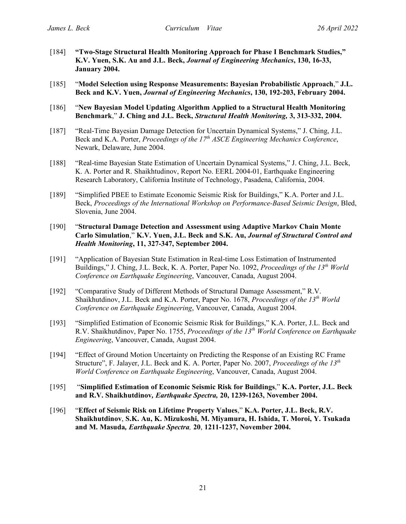- [184] **"Two-Stage Structural Health Monitoring Approach for Phase I Benchmark Studies," K.V. Yuen, S.K. Au and J.L. Beck,** *Journal of Engineering Mechanics***, 130, 16-33, January 2004.**
- [185] "**Model Selection using Response Measurements: Bayesian Probabilistic Approach**," **J.L. Beck and K.V. Yuen,** *Journal of Engineering Mechanics***, 130, 192-203, February 2004.**
- [186] "**New Bayesian Model Updating Algorithm Applied to a Structural Health Monitoring Benchmark**," **J. Ching and J.L. Beck,** *Structural Health Monitoring,* **3, 313-332, 2004.**
- [187] "Real-Time Bayesian Damage Detection for Uncertain Dynamical Systems," J. Ching, J.L. Beck and K.A. Porter, *Proceedings of the 17th ASCE Engineering Mechanics Conference*, Newark, Delaware, June 2004.
- [188] "Real-time Bayesian State Estimation of Uncertain Dynamical Systems," J. Ching, J.L. Beck, K. A. Porter and R. Shaikhtudinov, Report No. EERL 2004-01, Earthquake Engineering Research Laboratory, California Institute of Technology, Pasadena, California, 2004.
- [189] "Simplified PBEE to Estimate Economic Seismic Risk for Buildings," K.A. Porter and J.L. Beck, *Proceedings of the International Workshop on Performance-Based Seismic Design*, Bled, Slovenia, June 2004.
- [190] "**Structural Damage Detection and Assessment using Adaptive Markov Chain Monte Carlo Simulation**," **K.V. Yuen, J.L. Beck and S.K. Au,** *Journal of Structural Control and Health Monitoring***, 11, 327-347, September 2004.**
- [191] "Application of Bayesian State Estimation in Real-time Loss Estimation of Instrumented Buildings," J. Ching, J.L. Beck, K. A. Porter, Paper No. 1092, *Proceedings of the 13<sup>th</sup> World Conference on Earthquake Engineering*, Vancouver, Canada, August 2004.
- [192] "Comparative Study of Different Methods of Structural Damage Assessment," R.V. Shaikhutdinov, J.L. Beck and K.A. Porter, Paper No. 1678, *Proceedings of the 13th World Conference on Earthquake Engineering*, Vancouver, Canada, August 2004.
- [193] "Simplified Estimation of Economic Seismic Risk for Buildings," K.A. Porter, J.L. Beck and R.V. Shaikhutdinov, Paper No. 1755, *Proceedings of the 13th World Conference on Earthquake Engineering*, Vancouver, Canada, August 2004.
- [194] "Effect of Ground Motion Uncertainty on Predicting the Response of an Existing RC Frame Structure", F. Jalayer, J.L. Beck and K. A. Porter, Paper No. 2007, *Proceedings of the 13th World Conference on Earthquake Engineering*, Vancouver, Canada, August 2004.
- [195] "**Simplified Estimation of Economic Seismic Risk for Buildings**," **K.A. Porter, J.L. Beck and R.V. Shaikhutdinov***, Earthquake Spectra,* **20, 1239-1263, November 2004.**
- [196] "**Effect of Seismic Risk on Lifetime Property Values**," **K.A. Porter, J.L. Beck, R.V. Shaikhutdinov**, **S.K. Au, K. Mizukoshi, M. Miyamura, H. Ishida, T. Moroi, Y. Tsukada and M. Masuda***, Earthquake Spectra,* **20**, **1211-1237, November 2004.**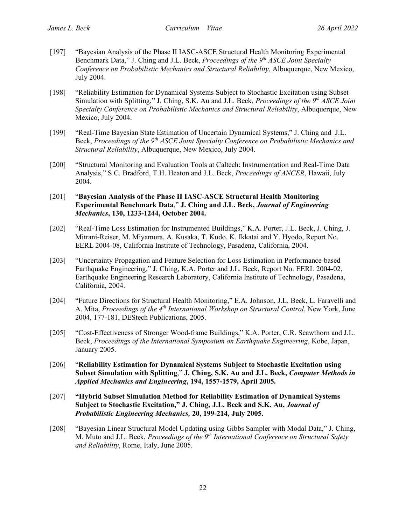- [197] "Bayesian Analysis of the Phase II IASC-ASCE Structural Health Monitoring Experimental Benchmark Data," J. Ching and J.L. Beck, *Proceedings of the 9th ASCE Joint Specialty Conference on Probabilistic Mechanics and Structural Reliability*, Albuquerque, New Mexico, July 2004.
- [198] "Reliability Estimation for Dynamical Systems Subject to Stochastic Excitation using Subset Simulation with Splitting," J. Ching, S.K. Au and J.L. Beck, *Proceedings of the 9th ASCE Joint Specialty Conference on Probabilistic Mechanics and Structural Reliability*, Albuquerque, New Mexico, July 2004.
- [199] "Real-Time Bayesian State Estimation of Uncertain Dynamical Systems," J. Ching and J.L. Beck, *Proceedings of the 9<sup>th</sup> ASCE Joint Specialty Conference on Probabilistic Mechanics and Structural Reliability*, Albuquerque, New Mexico, July 2004.
- [200] "Structural Monitoring and Evaluation Tools at Caltech: Instrumentation and Real-Time Data Analysis," S.C. Bradford, T.H. Heaton and J.L. Beck, *Proceedings of ANCER*, Hawaii, July 2004.
- [201] "**Bayesian Analysis of the Phase II IASC-ASCE Structural Health Monitoring Experimental Benchmark Data**," **J. Ching and J.L. Beck,** *Journal of Engineering Mechanics***, 130, 1233-1244, October 2004.**
- [202] "Real-Time Loss Estimation for Instrumented Buildings," K.A. Porter, J.L. Beck, J. Ching, J. Mitrani-Reiser, M. Miyamura, A. Kusaka, T. Kudo, K. Ikkatai and Y. Hyodo, Report No. EERL 2004-08, California Institute of Technology, Pasadena, California, 2004.
- [203] "Uncertainty Propagation and Feature Selection for Loss Estimation in Performance-based Earthquake Engineering," J. Ching, K.A. Porter and J.L. Beck, Report No. EERL 2004-02, Earthquake Engineering Research Laboratory, California Institute of Technology, Pasadena, California, 2004.
- [204] "Future Directions for Structural Health Monitoring," E.A. Johnson, J.L. Beck, L. Faravelli and A. Mita, *Proceedings of the 4<sup>th</sup> International Workshop on Structural Control*, New York, June 2004, 177-181, DEStech Publications, 2005.
- [205] "Cost-Effectiveness of Stronger Wood-frame Buildings," K.A. Porter, C.R. Scawthorn and J.L. Beck, *Proceedings of the International Symposium on Earthquake Engineering*, Kobe, Japan, January 2005.
- [206] "**Reliability Estimation for Dynamical Systems Subject to Stochastic Excitation using Subset Simulation with Splitting**," **J. Ching, S.K. Au and J.L. Beck,** *Computer Methods in Applied Mechanics and Engineering***, 194, 1557-1579, April 2005.**
- [207] **"Hybrid Subset Simulation Method for Reliability Estimation of Dynamical Systems Subject to Stochastic Excitation," J. Ching, J.L. Beck and S.K. Au,** *Journal of Probabilistic Engineering Mechanics,* **20, 199-214, July 2005.**
- [208] "Bayesian Linear Structural Model Updating using Gibbs Sampler with Modal Data," J. Ching, M. Muto and J.L. Beck, *Proceedings of the 9th International Conference on Structural Safety and Reliability*, Rome, Italy, June 2005.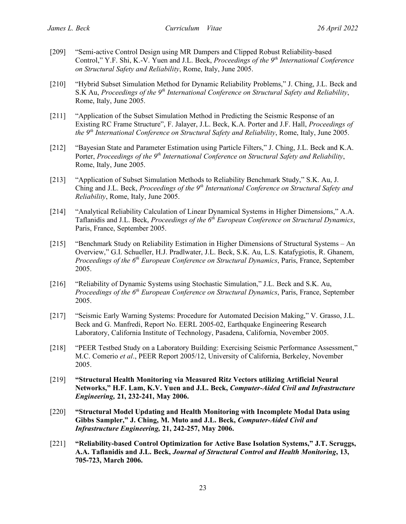- [209] "Semi-active Control Design using MR Dampers and Clipped Robust Reliability-based Control," Y.F. Shi, K.-V. Yuen and J.L. Beck, *Proceedings of the 9th International Conference on Structural Safety and Reliability*, Rome, Italy, June 2005.
- [210] "Hybrid Subset Simulation Method for Dynamic Reliability Problems," J. Ching, J.L. Beck and S.K Au, *Proceedings of the 9th International Conference on Structural Safety and Reliability*, Rome, Italy, June 2005.
- [211] "Application of the Subset Simulation Method in Predicting the Seismic Response of an Existing RC Frame Structure", F. Jalayer, J.L. Beck, K.A. Porter and J.F. Hall, *Proceedings of the 9th International Conference on Structural Safety and Reliability*, Rome, Italy, June 2005.
- [212] "Bayesian State and Parameter Estimation using Particle Filters," J. Ching, J.L. Beck and K.A. Porter, *Proceedings of the 9th International Conference on Structural Safety and Reliability*, Rome, Italy, June 2005.
- [213] "Application of Subset Simulation Methods to Reliability Benchmark Study," S.K. Au, J. Ching and J.L. Beck, *Proceedings of the 9<sup>th</sup> International Conference on Structural Safety and Reliability*, Rome, Italy, June 2005.
- [214] "Analytical Reliability Calculation of Linear Dynamical Systems in Higher Dimensions," A.A. Taflanidis and J.L. Beck, *Proceedings of the 6th European Conference on Structural Dynamics*, Paris, France, September 2005.
- [215] "Benchmark Study on Reliability Estimation in Higher Dimensions of Structural Systems An Overview," G.I. Schueller, H.J. Pradlwater, J.L. Beck, S.K. Au, L.S. Katafygiotis, R. Ghanem, *Proceedings of the 6th European Conference on Structural Dynamics*, Paris, France, September 2005.
- [216] "Reliability of Dynamic Systems using Stochastic Simulation," J.L. Beck and S.K. Au, *Proceedings of the 6th European Conference on Structural Dynamics*, Paris, France, September 2005.
- [217] "Seismic Early Warning Systems: Procedure for Automated Decision Making," V. Grasso, J.L. Beck and G. Manfredi, Report No. EERL 2005-02, Earthquake Engineering Research Laboratory, California Institute of Technology, Pasadena, California, November 2005.
- [218] "PEER Testbed Study on a Laboratory Building: Exercising Seismic Performance Assessment," M.C. Comerio *et al*., PEER Report 2005/12, University of California, Berkeley, November 2005.
- [219] **"Structural Health Monitoring via Measured Ritz Vectors utilizing Artificial Neural Networks," H.F. Lam, K.V. Yuen and J.L. Beck,** *Computer-Aided Civil and Infrastructure Engineering,* **21, 232-241, May 2006.**
- [220] **"Structural Model Updating and Health Monitoring with Incomplete Modal Data using Gibbs Sampler," J. Ching, M. Muto and J.L. Beck,** *Computer-Aided Civil and Infrastructure Engineering,* **21, 242-257, May 2006.**
- [221] **"Reliability-based Control Optimization for Active Base Isolation Systems," J.T. Scruggs, A.A. Taflanidis and J.L. Beck,** *Journal of Structural Control and Health Monitoring***, 13, 705-723, March 2006.**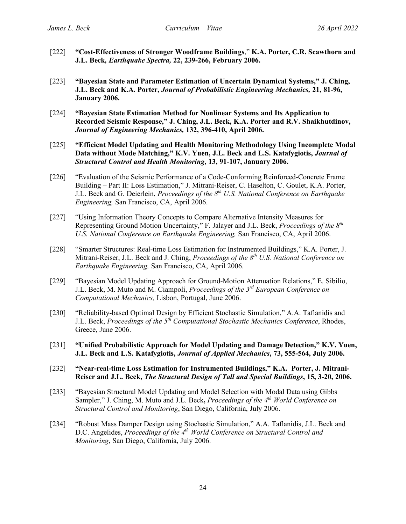- [222] **"Cost-Effectiveness of Stronger Woodframe Buildings**," **K.A. Porter, C.R. Scawthorn and J.L. Beck***, Earthquake Spectra,* **22, 239-266, February 2006.**
- [223] **"Bayesian State and Parameter Estimation of Uncertain Dynamical Systems," J. Ching, J.L. Beck and K.A. Porter,** *Journal of Probabilistic Engineering Mechanics,* **21, 81-96, January 2006.**
- [224] **"Bayesian State Estimation Method for Nonlinear Systems and Its Application to Recorded Seismic Response," J. Ching, J.L. Beck, K.A. Porter and R.V. Shaikhutdinov,**  *Journal of Engineering Mechanics,* **132, 396-410, April 2006.**
- [225] **"Efficient Model Updating and Health Monitoring Methodology Using Incomplete Modal Data without Mode Matching," K.V. Yuen, J.L. Beck and L.S. Katafygiotis,** *Journal of Structural Control and Health Monitoring***, 13, 91-107, January 2006.**
- [226] "Evaluation of the Seismic Performance of a Code-Conforming Reinforced-Concrete Frame Building – Part II: Loss Estimation," J. Mitrani-Reiser, C. Haselton, C. Goulet, K.A. Porter, J.L. Beck and G. Deierlein, *Proceedings of the 8th U.S. National Conference on Earthquake Engineering,* San Francisco, CA, April 2006.
- [227] "Using Information Theory Concepts to Compare Alternative Intensity Measures for Representing Ground Motion Uncertainty," F. Jalayer and J.L. Beck, *Proceedings of the 8th U.S. National Conference on Earthquake Engineering,* San Francisco, CA, April 2006.
- [228] "Smarter Structures: Real-time Loss Estimation for Instrumented Buildings," K.A. Porter, J. Mitrani-Reiser, J.L. Beck and J. Ching, *Proceedings of the 8<sup>th</sup> U.S. National Conference on Earthquake Engineering,* San Francisco, CA, April 2006.
- [229] "Bayesian Model Updating Approach for Ground-Motion Attenuation Relations," E. Sibilio, J.L. Beck, M. Muto and M. Ciampoli, *Proceedings of the 3rd European Conference on Computational Mechanics,* Lisbon, Portugal, June 2006.
- [230] "Reliability-based Optimal Design by Efficient Stochastic Simulation," A.A. Taflanidis and J.L. Beck, *Proceedings of the 5th Computational Stochastic Mechanics Conference*, Rhodes, Greece, June 2006.
- [231] **"Unified Probabilistic Approach for Model Updating and Damage Detection," K.V. Yuen, J.L. Beck and L.S. Katafygiotis,** *Journal of Applied Mechanics***, 73, 555-564, July 2006.**
- [232] **"Near-real-time Loss Estimation for Instrumented Buildings," K.A. Porter, J. Mitrani-Reiser and J.L. Beck,** *The Structural Design of Tall and Special Buildings***, 15, 3-20, 2006.**
- [233] "Bayesian Structural Model Updating and Model Selection with Modal Data using Gibbs Sampler," J. Ching, M. Muto and J.L. Beck**,** *Proceedings of the 4th World Conference on Structural Control and Monitoring*, San Diego, California, July 2006.
- [234] "Robust Mass Damper Design using Stochastic Simulation," A.A. Taflanidis, J.L. Beck and D.C. Angelides, *Proceedings of the 4th World Conference on Structural Control and Monitoring*, San Diego, California, July 2006.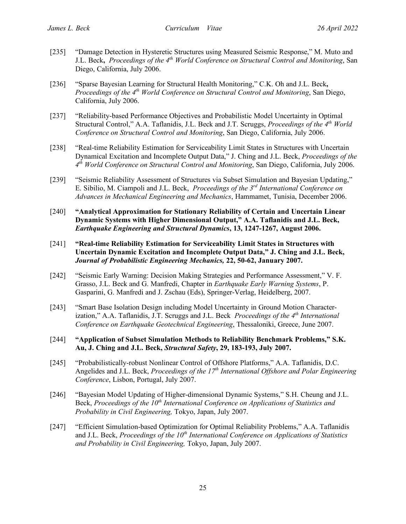- [235] "Damage Detection in Hysteretic Structures using Measured Seismic Response," M. Muto and J.L. Beck**,** *Proceedings of the 4th World Conference on Structural Control and Monitoring*, San Diego, California, July 2006.
- [236] "Sparse Bayesian Learning for Structural Health Monitoring," C.K. Oh and J.L. Beck**,** *Proceedings of the 4th World Conference on Structural Control and Monitoring*, San Diego, California, July 2006.
- [237] "Reliability-based Performance Objectives and Probabilistic Model Uncertainty in Optimal Structural Control," A.A. Taflanidis, J.L. Beck and J.T. Scruggs, *Proceedings of the 4th World Conference on Structural Control and Monitoring*, San Diego, California, July 2006.
- [238] "Real-time Reliability Estimation for Serviceability Limit States in Structures with Uncertain Dynamical Excitation and Incomplete Output Data," J. Ching and J.L. Beck, *Proceedings of the 4th World Conference on Structural Control and Monitoring*, San Diego, California, July 2006.
- [239] "Seismic Reliability Assessment of Structures via Subset Simulation and Bayesian Updating," E. Sibilio, M. Ciampoli and J.L. Beck, *Proceedings of the 3rd International Conference on Advances in Mechanical Engineering and Mechanics*, Hammamet, Tunisia, December 2006.
- [240] **"Analytical Approximation for Stationary Reliability of Certain and Uncertain Linear Dynamic Systems with Higher Dimensional Output," A.A. Taflanidis and J.L. Beck,** *Earthquake Engineering and Structural Dynamics***, 13, 1247-1267, August 2006.**
- [241] **"Real-time Reliability Estimation for Serviceability Limit States in Structures with Uncertain Dynamic Excitation and Incomplete Output Data," J. Ching and J.L. Beck,**  *Journal of Probabilistic Engineering Mechanics,* **22, 50-62, January 2007.**
- [242] "Seismic Early Warning: Decision Making Strategies and Performance Assessment," V. F. Grasso, J.L. Beck and G. Manfredi, Chapter in *Earthquake Early Warning Systems*, P. Gasparini, G. Manfredi and J. Zschau (Eds), Springer-Verlag, Heidelberg, 2007.
- [243] "Smart Base Isolation Design including Model Uncertainty in Ground Motion Characterization," A.A. Taflanidis, J.T. Scruggs and J.L. Beck *Proceedings of the 4th International Conference on Earthquake Geotechnical Engineering*, Thessaloniki, Greece, June 2007.
- [244] **"Application of Subset Simulation Methods to Reliability Benchmark Problems," S.K. Au, J. Ching and J.L. Beck,** *Structural Safety***, 29, 183-193, July 2007.**
- [245] "Probabilistically-robust Nonlinear Control of Offshore Platforms," A.A. Taflanidis, D.C. Angelides and J.L. Beck, *Proceedings of the 17th International Offshore and Polar Engineering Conference*, Lisbon, Portugal, July 2007.
- [246] "Bayesian Model Updating of Higher-dimensional Dynamic Systems," S.H. Cheung and J.L. Beck, *Proceedings of the 10<sup>th</sup> International Conference on Applications of Statistics and Probability in Civil Engineering,* Tokyo, Japan, July 2007.
- [247] "Efficient Simulation-based Optimization for Optimal Reliability Problems," A.A. Taflanidis and J.L. Beck, *Proceedings of the 10<sup>th</sup> International Conference on Applications of Statistics and Probability in Civil Engineering,* Tokyo, Japan, July 2007.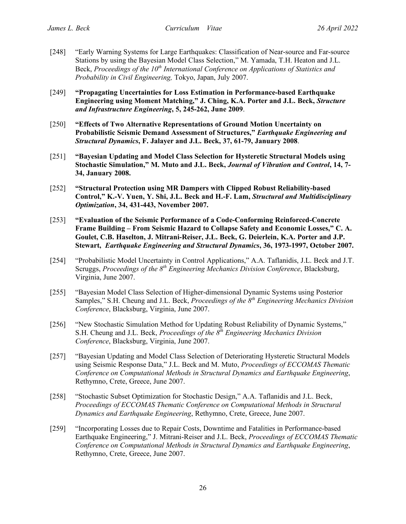- [248] "Early Warning Systems for Large Earthquakes: Classification of Near-source and Far-source Stations by using the Bayesian Model Class Selection," M. Yamada, T.H. Heaton and J.L. Beck, *Proceedings of the 10<sup>th</sup> International Conference on Applications of Statistics and Probability in Civil Engineering,* Tokyo, Japan, July 2007.
- [249] **"Propagating Uncertainties for Loss Estimation in Performance-based Earthquake Engineering using Moment Matching," J. Ching, K.A. Porter and J.L. Beck,** *Structure and Infrastructure Engineering***, 5, 245-262, June 2009**.
- [250] **"Effects of Two Alternative Representations of Ground Motion Uncertainty on Probabilistic Seismic Demand Assessment of Structures,"** *Earthquake Engineering and Structural Dynamics***, F. Jalayer and J.L. Beck, 37, 61-79, January 2008**.
- [251] **"Bayesian Updating and Model Class Selection for Hysteretic Structural Models using Stochastic Simulation," M. Muto and J.L. Beck,** *Journal of Vibration and Control***, 14, 7- 34, January 2008.**
- [252] **"Structural Protection using MR Dampers with Clipped Robust Reliability-based Control," K.-V. Yuen, Y. Shi, J.L. Beck and H.-F. Lam,** *Structural and Multidisciplinary Optimization***, 34, 431-443, November 2007.**
- [253] **"Evaluation of the Seismic Performance of a Code-Conforming Reinforced-Concrete Frame Building – From Seismic Hazard to Collapse Safety and Economic Losses," C. A. Goulet, C.B. Haselton, J. Mitrani-Reiser, J.L. Beck, G. Deierlein, K.A. Porter and J.P. Stewart,** *Earthquake Engineering and Structural Dynamics***, 36, 1973-1997, October 2007.**
- [254] "Probabilistic Model Uncertainty in Control Applications," A.A. Taflanidis, J.L. Beck and J.T. Scruggs, *Proceedings of the 8th Engineering Mechanics Division Conference*, Blacksburg, Virginia, June 2007.
- [255] "Bayesian Model Class Selection of Higher-dimensional Dynamic Systems using Posterior Samples," S.H. Cheung and J.L. Beck, *Proceedings of the 8th Engineering Mechanics Division Conference*, Blacksburg, Virginia, June 2007.
- [256] "New Stochastic Simulation Method for Updating Robust Reliability of Dynamic Systems," S.H. Cheung and J.L. Beck, *Proceedings of the 8th Engineering Mechanics Division Conference*, Blacksburg, Virginia, June 2007.
- [257] "Bayesian Updating and Model Class Selection of Deteriorating Hysteretic Structural Models using Seismic Response Data," J.L. Beck and M. Muto, *Proceedings of ECCOMAS Thematic Conference on Computational Methods in Structural Dynamics and Earthquake Engineering*, Rethymno, Crete, Greece, June 2007.
- [258] "Stochastic Subset Optimization for Stochastic Design," A.A. Taflanidis and J.L. Beck, *Proceedings of ECCOMAS Thematic Conference on Computational Methods in Structural Dynamics and Earthquake Engineering*, Rethymno, Crete, Greece, June 2007.
- [259] "Incorporating Losses due to Repair Costs, Downtime and Fatalities in Performance-based Earthquake Engineering," J. Mitrani-Reiser and J.L. Beck, *Proceedings of ECCOMAS Thematic Conference on Computational Methods in Structural Dynamics and Earthquake Engineering*, Rethymno, Crete, Greece, June 2007.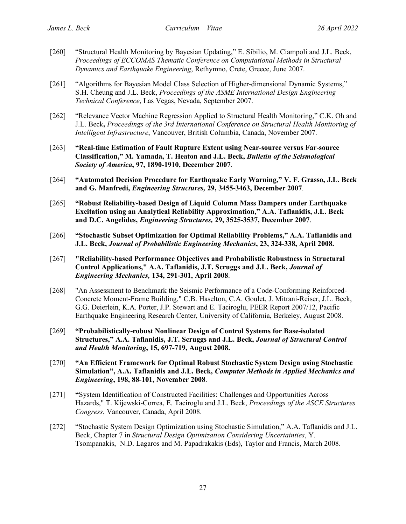- [260] "Structural Health Monitoring by Bayesian Updating," E. Sibilio, M. Ciampoli and J.L. Beck, *Proceedings of ECCOMAS Thematic Conference on Computational Methods in Structural Dynamics and Earthquake Engineering*, Rethymno, Crete, Greece, June 2007.
- [261] "Algorithms for Bayesian Model Class Selection of Higher-dimensional Dynamic Systems," S.H. Cheung and J.L. Beck, *Proceedings of the ASME International Design Engineering Technical Conference*, Las Vegas, Nevada, September 2007.
- [262] "Relevance Vector Machine Regression Applied to Structural Health Monitoring," C.K. Oh and J.L. Beck**,** *Proceedings of the 3rd International Conference on Structural Health Monitoring of Intelligent Infrastructure*, Vancouver, British Columbia, Canada, November 2007.
- [263] **"Real-time Estimation of Fault Rupture Extent using Near-source versus Far-source Classification," M. Yamada, T. Heaton and J.L. Beck,** *Bulletin of the Seismological Society of America***, 97, 1890-1910, December 2007**.
- [264] **"Automated Decision Procedure for Earthquake Early Warning," V. F. Grasso, J.L. Beck and G. Manfredi,** *Engineering Structures,* **29, 3455-3463, December 2007**.
- [265] **"Robust Reliability-based Design of Liquid Column Mass Dampers under Earthquake Excitation using an Analytical Reliability Approximation," A.A. Taflanidis, J.L. Beck and D.C. Angelides,** *Engineering Structures,* **29, 3525-3537, December 2007**.
- [266] **"Stochastic Subset Optimization for Optimal Reliability Problems," A.A. Taflanidis and J.L. Beck,** *Journal of Probabilistic Engineering Mechanics***, 23, 324-338, April 2008.**
- [267] **"Reliability-based Performance Objectives and Probabilistic Robustness in Structural Control Applications," A.A. Taflanidis, J.T. Scruggs and J.L. Beck,** *Journal of Engineering Mechanics,* **134, 291-301, April 2008**.
- [268] "An Assessment to Benchmark the Seismic Performance of a Code-Conforming Reinforced-Concrete Moment-Frame Building," C.B. Haselton, C.A. Goulet, J. Mitrani-Reiser, J.L. Beck, G.G. Deierlein, K.A. Porter, J.P. Stewart and E. Taciroglu, PEER Report 2007/12, Pacific Earthquake Engineering Research Center, University of California, Berkeley, August 2008.
- [269] **"Probabilistically-robust Nonlinear Design of Control Systems for Base-isolated Structures," A.A. Taflanidis, J.T. Scruggs and J.L. Beck,** *Journal of Structural Control and Health Monitoring***, 15, 697-719, August 2008.**
- [270] **"An Efficient Framework for Optimal Robust Stochastic System Design using Stochastic Simulation", A.A. Taflanidis and J.L. Beck,** *Computer Methods in Applied Mechanics and Engineering***, 198, 88-101, November 2008**.
- [271] **"**System Identification of Constructed Facilities: Challenges and Opportunities Across Hazards," T. Kijewski-Correa, E. Taciroglu and J.L. Beck, *Proceedings of the ASCE Structures Congress*, Vancouver, Canada, April 2008.
- [272] "Stochastic System Design Optimization using Stochastic Simulation," A.A. Taflanidis and J.L. Beck, Chapter 7 in *Structural Design Optimization Considering Uncertainties*, Y. Tsompanakis, N.D. Lagaros and M. Papadrakakis (Eds), Taylor and Francis, March 2008.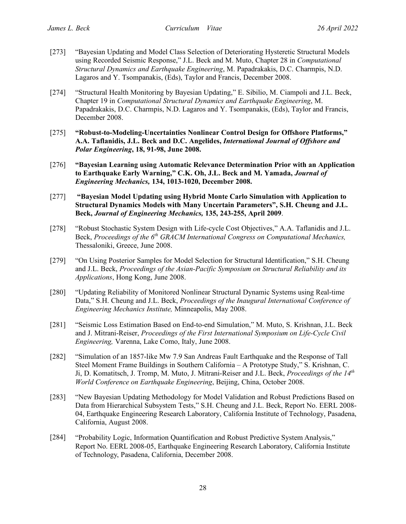- [273] "Bayesian Updating and Model Class Selection of Deteriorating Hysteretic Structural Models using Recorded Seismic Response," J.L. Beck and M. Muto, Chapter 28 in *Computational Structural Dynamics and Earthquake Engineering*, M. Papadrakakis, D.C. Charmpis, N.D. Lagaros and Y. Tsompanakis, (Eds), Taylor and Francis, December 2008.
- [274] "Structural Health Monitoring by Bayesian Updating," E. Sibilio, M. Ciampoli and J.L. Beck, Chapter 19 in *Computational Structural Dynamics and Earthquake Engineering*, M. Papadrakakis, D.C. Charmpis, N.D. Lagaros and Y. Tsompanakis, (Eds), Taylor and Francis, December 2008.
- [275] **"Robust-to-Modeling-Uncertainties Nonlinear Control Design for Offshore Platforms," A.A. Taflanidis, J.L. Beck and D.C. Angelides,** *International Journal of Offshore and Polar Engineering***, 18, 91-98, June 2008.**
- [276] **"Bayesian Learning using Automatic Relevance Determination Prior with an Application to Earthquake Early Warning," C.K. Oh, J.L. Beck and M. Yamada,** *Journal of Engineering Mechanics,* **134, 1013-1020, December 2008.**
- [277] **"Bayesian Model Updating using Hybrid Monte Carlo Simulation with Application to Structural Dynamics Models with Many Uncertain Parameters", S.H. Cheung and J.L. Beck,** *Journal of Engineering Mechanics,* **135, 243-255, April 2009**.
- [278] "Robust Stochastic System Design with Life-cycle Cost Objectives," A.A. Taflanidis and J.L. Beck, *Proceedings of the 6<sup>th</sup> GRACM International Congress on Computational Mechanics*, Thessaloniki, Greece, June 2008.
- [279] "On Using Posterior Samples for Model Selection for Structural Identification," S.H. Cheung and J.L. Beck, *Proceedings of the Asian-Pacific Symposium on Structural Reliability and its Applications*, Hong Kong, June 2008.
- [280] "Updating Reliability of Monitored Nonlinear Structural Dynamic Systems using Real-time Data," S.H. Cheung and J.L. Beck, *Proceedings of the Inaugural International Conference of Engineering Mechanics Institute,* Minneapolis, May 2008.
- [281] "Seismic Loss Estimation Based on End-to-end Simulation," M. Muto, S. Krishnan, J.L. Beck and J. Mitrani-Reiser, *Proceedings of the First International Symposium on Life-Cycle Civil Engineering,* Varenna, Lake Como, Italy, June 2008.
- [282] "Simulation of an 1857-like Mw 7.9 San Andreas Fault Earthquake and the Response of Tall Steel Moment Frame Buildings in Southern California – A Prototype Study," S. Krishnan, C. Ji, D. Komatitsch, J. Tromp, M. Muto, J. Mitrani-Reiser and J.L. Beck, *Proceedings of the 14th World Conference on Earthquake Engineering*, Beijing, China, October 2008.
- [283] "New Bayesian Updating Methodology for Model Validation and Robust Predictions Based on Data from Hierarchical Subsystem Tests," S.H. Cheung and J.L. Beck, Report No. EERL 2008- 04, Earthquake Engineering Research Laboratory, California Institute of Technology, Pasadena, California, August 2008.
- [284] "Probability Logic, Information Quantification and Robust Predictive System Analysis," Report No. EERL 2008-05, Earthquake Engineering Research Laboratory, California Institute of Technology, Pasadena, California, December 2008.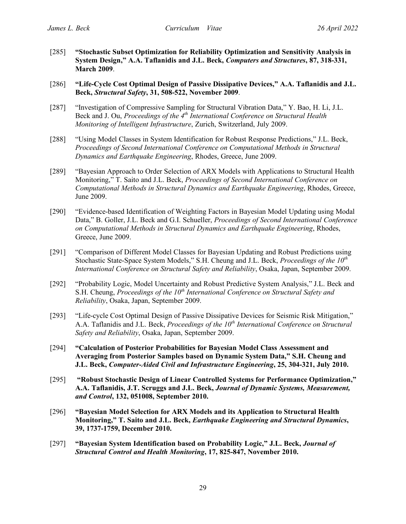- [285] **"Stochastic Subset Optimization for Reliability Optimization and Sensitivity Analysis in System Design," A.A. Taflanidis and J.L. Beck,** *Computers and Structures***, 87, 318-331, March 2009**.
- [286] **"Life-Cycle Cost Optimal Design of Passive Dissipative Devices," A.A. Taflanidis and J.L. Beck,** *Structural Safety***, 31, 508-522, November 2009**.
- [287] "Investigation of Compressive Sampling for Structural Vibration Data," Y. Bao, H. Li, J.L. Beck and J. Ou, *Proceedings of the 4th International Conference on Structural Health Monitoring of Intelligent Infrastructure*, Zurich, Switzerland, July 2009.
- [288] "Using Model Classes in System Identification for Robust Response Predictions," J.L. Beck, *Proceedings of Second International Conference on Computational Methods in Structural Dynamics and Earthquake Engineering*, Rhodes, Greece, June 2009.
- [289] "Bayesian Approach to Order Selection of ARX Models with Applications to Structural Health Monitoring," T. Saito and J.L. Beck, *Proceedings of Second International Conference on Computational Methods in Structural Dynamics and Earthquake Engineering*, Rhodes, Greece, June 2009.
- [290] "Evidence-based Identification of Weighting Factors in Bayesian Model Updating using Modal Data," B. Goller, J.L. Beck and G.I. Schueller, *Proceedings of Second International Conference on Computational Methods in Structural Dynamics and Earthquake Engineering*, Rhodes, Greece, June 2009.
- [291] "Comparison of Different Model Classes for Bayesian Updating and Robust Predictions using Stochastic State-Space System Models," S.H. Cheung and J.L. Beck, *Proceedings of the 10th International Conference on Structural Safety and Reliability*, Osaka, Japan, September 2009.
- [292] "Probability Logic, Model Uncertainty and Robust Predictive System Analysis," J.L. Beck and S.H. Cheung, *Proceedings of the 10<sup>th</sup> International Conference on Structural Safety and Reliability*, Osaka, Japan, September 2009.
- [293] "Life-cycle Cost Optimal Design of Passive Dissipative Devices for Seismic Risk Mitigation," A.A. Taflanidis and J.L. Beck, *Proceedings of the 10th International Conference on Structural Safety and Reliability*, Osaka, Japan, September 2009.
- [294] **"Calculation of Posterior Probabilities for Bayesian Model Class Assessment and Averaging from Posterior Samples based on Dynamic System Data," S.H. Cheung and J.L. Beck,** *Computer-Aided Civil and Infrastructure Engineering***, 25, 304-321, July 2010.**
- [295] **"Robust Stochastic Design of Linear Controlled Systems for Performance Optimization," A.A. Taflanidis, J.T. Scruggs and J.L. Beck,** *Journal of Dynamic Systems, Measurement, and Control***, 132, 051008, September 2010.**
- [296] **"Bayesian Model Selection for ARX Models and its Application to Structural Health Monitoring," T. Saito and J.L. Beck,** *Earthquake Engineering and Structural Dynamics***, 39, 1737-1759, December 2010.**
- [297] **"Bayesian System Identification based on Probability Logic," J.L. Beck,** *Journal of Structural Control and Health Monitoring***, 17, 825-847, November 2010.**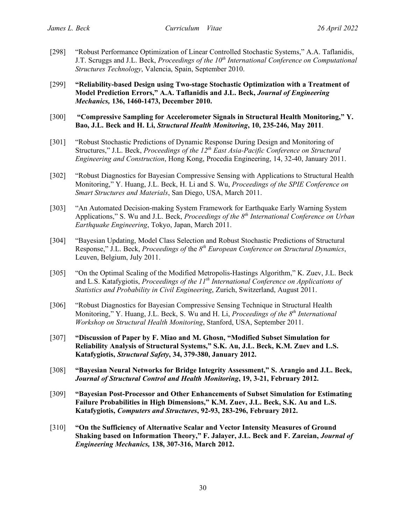- [298] "Robust Performance Optimization of Linear Controlled Stochastic Systems," A.A. Taflanidis, J.T. Scruggs and J.L. Beck, *Proceedings of the 10<sup>th</sup> International Conference on Computational Structures Technology*, Valencia, Spain, September 2010.
- [299] **"Reliability-based Design using Two-stage Stochastic Optimization with a Treatment of Model Prediction Errors," A.A. Taflanidis and J.L. Beck,** *Journal of Engineering Mechanics,* **136, 1460-1473, December 2010.**
- [300] **"Compressive Sampling for Accelerometer Signals in Structural Health Monitoring," Y. Bao, J.L. Beck and H. Li,** *Structural Health Monitoring***, 10, 235-246, May 2011**.
- [301] "Robust Stochastic Predictions of Dynamic Response During Design and Monitoring of Structures," J.L. Beck, *Proceedings of the 12th East Asia-Pacific Conference on Structural Engineering and Construction*, Hong Kong, Procedia Engineering, 14, 32-40, January 2011.
- [302] "Robust Diagnostics for Bayesian Compressive Sensing with Applications to Structural Health Monitoring," Y. Huang, J.L. Beck, H. Li and S. Wu, *Proceedings of the SPIE Conference on Smart Structures and Materials*, San Diego, USA, March 2011.
- [303] "An Automated Decision-making System Framework for Earthquake Early Warning System Applications," S. Wu and J.L. Beck, *Proceedings of the 8<sup>th</sup> International Conference on Urban Earthquake Engineering*, Tokyo, Japan, March 2011.
- [304] "Bayesian Updating, Model Class Selection and Robust Stochastic Predictions of Structural Response," J.L. Beck, *Proceedings of* the *8th European Conference on Structural Dynamics*, Leuven, Belgium, July 2011.
- [305] "On the Optimal Scaling of the Modified Metropolis-Hastings Algorithm," K. Zuev, J.L. Beck and L.S. Katafygiotis, *Proceedings of the 11th International Conference on Applications of Statistics and Probability in Civil Engineering*, Zurich, Switzerland, August 2011.
- [306] "Robust Diagnostics for Bayesian Compressive Sensing Technique in Structural Health Monitoring," Y. Huang, J.L. Beck, S. Wu and H. Li, *Proceedings of the 8th International Workshop on Structural Health Monitoring*, Stanford, USA, September 2011.
- [307] **"Discussion of Paper by F. Miao and M. Ghosn, "Modified Subset Simulation for Reliability Analysis of Structural Systems," S.K. Au, J.L. Beck, K.M. Zuev and L.S. Katafygiotis,** *Structural Safety***, 34, 379-380, January 2012.**
- [308] **"Bayesian Neural Networks for Bridge Integrity Assessment," S. Arangio and J.L. Beck,** *Journal of Structural Control and Health Monitoring***, 19, 3-21, February 2012.**
- [309] **"Bayesian Post-Processor and Other Enhancements of Subset Simulation for Estimating Failure Probabilities in High Dimensions," K.M. Zuev, J.L. Beck, S.K. Au and L.S. Katafygiotis,** *Computers and Structures***, 92-93, 283-296, February 2012.**
- [310] **"On the Sufficiency of Alternative Scalar and Vector Intensity Measures of Ground Shaking based on Information Theory," F. Jalayer, J.L. Beck and F. Zareian,** *Journal of Engineering Mechanics,* **138, 307-316, March 2012.**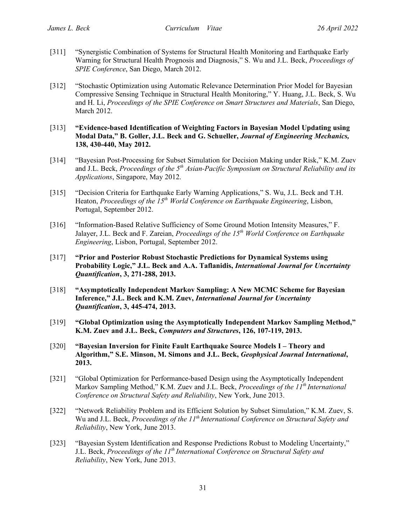- [311] "Synergistic Combination of Systems for Structural Health Monitoring and Earthquake Early Warning for Structural Health Prognosis and Diagnosis," S. Wu and J.L. Beck, *Proceedings of SPIE Conference*, San Diego, March 2012.
- [312] "Stochastic Optimization using Automatic Relevance Determination Prior Model for Bayesian Compressive Sensing Technique in Structural Health Monitoring," Y. Huang, J.L. Beck, S. Wu and H. Li, *Proceedings of the SPIE Conference on Smart Structures and Materials*, San Diego, March 2012.
- [313] **"Evidence-based Identification of Weighting Factors in Bayesian Model Updating using Modal Data," B. Goller, J.L. Beck and G. Schueller,** *Journal of Engineering Mechanics,* **138, 430-440, May 2012.**
- [314] "Bayesian Post-Processing for Subset Simulation for Decision Making under Risk," K.M. Zuev and J.L. Beck, *Proceedings of the 5<sup>th</sup> Asian-Pacific Symposium on Structural Reliability and its Applications*, Singapore, May 2012.
- [315] "Decision Criteria for Earthquake Early Warning Applications," S. Wu, J.L. Beck and T.H. Heaton, *Proceedings of the 15th World Conference on Earthquake Engineering*, Lisbon, Portugal, September 2012.
- [316] "Information-Based Relative Sufficiency of Some Ground Motion Intensity Measures," F. Jalayer, J.L. Beck and F. Zareian, *Proceedings of the 15<sup>th</sup> World Conference on Earthquake Engineering*, Lisbon, Portugal, September 2012.
- [317] **"Prior and Posterior Robust Stochastic Predictions for Dynamical Systems using Probability Logic," J.L. Beck and A.A. Taflanidis,** *International Journal for Uncertainty Quantification***, 3, 271-288, 2013.**
- [318] **"Asymptotically Independent Markov Sampling: A New MCMC Scheme for Bayesian Inference," J.L. Beck and K.M. Zuev,** *International Journal for Uncertainty Quantification***, 3, 445-474, 2013.**
- [319] **"Global Optimization using the Asymptotically Independent Markov Sampling Method," K.M. Zuev and J.L. Beck,** *Computers and Structures***, 126, 107-119, 2013.**
- [320] **"Bayesian Inversion for Finite Fault Earthquake Source Models I – Theory and Algorithm," S.E. Minson, M. Simons and J.L. Beck,** *Geophysical Journal International***, 2013.**
- [321] "Global Optimization for Performance-based Design using the Asymptotically Independent Markov Sampling Method," K.M. Zuev and J.L. Beck, *Proceedings of the 11th International Conference on Structural Safety and Reliability*, New York, June 2013.
- [322] "Network Reliability Problem and its Efficient Solution by Subset Simulation," K.M. Zuev, S. Wu and J.L. Beck, *Proceedings of the 11th International Conference on Structural Safety and Reliability*, New York, June 2013.
- [323] "Bayesian System Identification and Response Predictions Robust to Modeling Uncertainty," J.L. Beck, *Proceedings of the 11th International Conference on Structural Safety and Reliability*, New York, June 2013.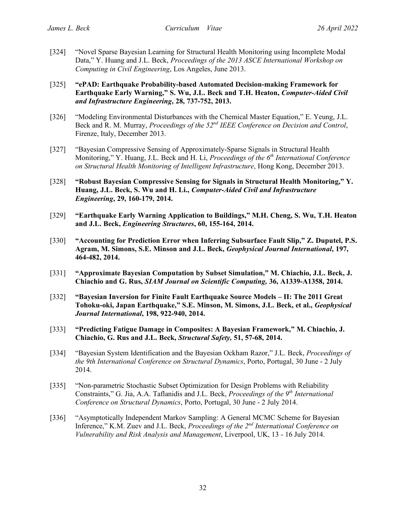- [324] "Novel Sparse Bayesian Learning for Structural Health Monitoring using Incomplete Modal Data," Y. Huang and J.L. Beck, *Proceedings of the 2013 ASCE International Workshop on Computing in Civil Engineering*, Los Angeles, June 2013.
- [325] **"ePAD: Earthquake Probability-based Automated Decision-making Framework for Earthquake Early Warning," S. Wu, J.L. Beck and T.H. Heaton,** *Computer-Aided Civil and Infrastructure Engineering***, 28, 737-752, 2013.**
- [326] "Modeling Environmental Disturbances with the Chemical Master Equation," E. Yeung, J.L. Beck and R. M. Murray, *Proceedings of the 52nd IEEE Conference on Decision and Control*, Firenze, Italy, December 2013.
- [327] "Bayesian Compressive Sensing of Approximately-Sparse Signals in Structural Health Monitoring," Y. Huang, J.L. Beck and H. Li, *Proceedings of the 6th International Conference on Structural Health Monitoring of Intelligent Infrastructure*, Hong Kong, December 2013.
- [328] **"Robust Bayesian Compressive Sensing for Signals in Structural Health Monitoring," Y. Huang, J.L. Beck, S. Wu and H. Li.,** *Computer-Aided Civil and Infrastructure Engineering***, 29, 160-179, 2014.**
- [329] **"Earthquake Early Warning Application to Buildings," M.H. Cheng, S. Wu, T.H. Heaton and J.L. Beck,** *Engineering Structures***, 60, 155-164, 2014.**
- [330] **"Accounting for Prediction Error when Inferring Subsurface Fault Slip," Z. Duputel, P.S. Agram, M. Simons, S.E. Minson and J.L. Beck,** *Geophysical Journal International***, 197, 464-482, 2014.**
- [331] **"Approximate Bayesian Computation by Subset Simulation," M. Chiachio, J.L. Beck, J. Chiachio and G. Rus,** *SIAM Journal on Scientific Computing,* **36, A1339-A1358, 2014.**
- [332] **"Bayesian Inversion for Finite Fault Earthquake Source Models – II: The 2011 Great Tohoku-oki, Japan Earthquake," S.E. Minson, M. Simons, J.L. Beck, et al.,** *Geophysical Journal International***, 198, 922-940, 2014.**
- [333] **"Predicting Fatigue Damage in Composites: A Bayesian Framework," M. Chiachio, J. Chiachio, G. Rus and J.L. Beck,** *Structural Safety,* **51, 57-68, 2014.**
- [334] "Bayesian System Identification and the Bayesian Ockham Razor," J.L. Beck, *Proceedings of the 9th International Conference on Structural Dynamics*, Porto, Portugal, 30 June - 2 July 2014.
- [335] "Non-parametric Stochastic Subset Optimization for Design Problems with Reliability Constraints," G. Jia, A.A. Taflanidis and J.L. Beck, *Proceedings of the 9th International Conference on Structural Dynamics*, Porto, Portugal, 30 June - 2 July 2014.
- [336] "Asymptotically Independent Markov Sampling: A General MCMC Scheme for Bayesian Inference," K.M. Zuev and J.L. Beck, *Proceedings of the 2nd International Conference on Vulnerability and Risk Analysis and Management*, Liverpool, UK, 13 - 16 July 2014.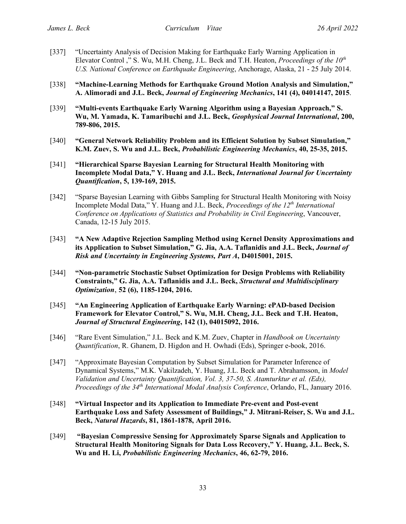- [337] "Uncertainty Analysis of Decision Making for Earthquake Early Warning Application in Elevator Control ," S. Wu, M.H. Cheng, J.L. Beck and T.H. Heaton, *Proceedings of the 10th U.S. National Conference on Earthquake Engineering*, Anchorage, Alaska, 21 - 25 July 2014.
- [338] **"Machine-Learning Methods for Earthquake Ground Motion Analysis and Simulation," A. Alimoradi and J.L. Beck,** *Journal of Engineering Mechanics***, 141 (4), 04014147, 2015**.
- [339] **"Multi-events Earthquake Early Warning Algorithm using a Bayesian Approach," S. Wu, M. Yamada, K. Tamaribuchi and J.L. Beck,** *Geophysical Journal International***, 200, 789-806, 2015.**
- [340] **"General Network Reliability Problem and its Efficient Solution by Subset Simulation," K.M. Zuev, S. Wu and J.L. Beck,** *Probabilistic Engineering Mechanics***, 40, 25-35, 2015.**
- [341] **"Hierarchical Sparse Bayesian Learning for Structural Health Monitoring with Incomplete Modal Data," Y. Huang and J.L. Beck,** *International Journal for Uncertainty Quantification***, 5, 139-169, 2015.**
- [342] "Sparse Bayesian Learning with Gibbs Sampling for Structural Health Monitoring with Noisy Incomplete Modal Data," Y. Huang and J.L. Beck, *Proceedings of the 12th International Conference on Applications of Statistics and Probability in Civil Engineering*, Vancouver, Canada, 12-15 July 2015.
- [343] **"A New Adaptive Rejection Sampling Method using Kernel Density Approximations and its Application to Subset Simulation," G. Jia, A.A. Taflanidis and J.L. Beck,** *Journal of Risk and Uncertainty in Engineering Systems, Part A***, D4015001, 2015.**
- [344] **"Non-parametric Stochastic Subset Optimization for Design Problems with Reliability Constraints," G. Jia, A.A. Taflanidis and J.L. Beck,** *Structural and Multidisciplinary Optimization*, **52 (6), 1185-1204, 2016.**
- [345] **"An Engineering Application of Earthquake Early Warning: ePAD-based Decision Framework for Elevator Control," S. Wu, M.H. Cheng, J.L. Beck and T.H. Heaton,**  *Journal of Structural Engineering***, 142 (1), 04015092, 2016.**
- [346] "Rare Event Simulation," J.L. Beck and K.M. Zuev, Chapter in *Handbook on Uncertainty Quantification*, R. Ghanem, D. Higdon and H. Owhadi (Eds), Springer e-book, 2016.
- [347] "Approximate Bayesian Computation by Subset Simulation for Parameter Inference of Dynamical Systems," M.K. Vakilzadeh, Y. Huang, J.L. Beck and T. Abrahamsson, in *Model Validation and Uncertainty Quantification, Vol. 3, 37-50, S. Atamturktur et al. (Eds), Proceedings of the 34th International Modal Analysis Conference*, Orlando, FL, January 2016.
- [348] **"Virtual Inspector and its Application to Immediate Pre-event and Post-event Earthquake Loss and Safety Assessment of Buildings," J. Mitrani-Reiser, S. Wu and J.L. Beck,** *Natural Hazards***, 81, 1861-1878, April 2016.**
- [349] **"Bayesian Compressive Sensing for Approximately Sparse Signals and Application to Structural Health Monitoring Signals for Data Loss Recovery," Y. Huang, J.L. Beck, S. Wu and H. Li,** *Probabilistic Engineering Mechanics***, 46, 62-79, 2016.**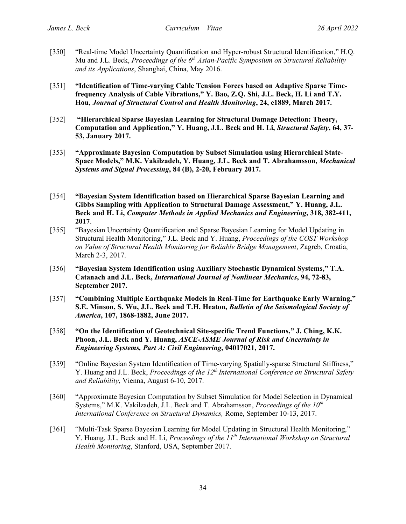- [350] "Real-time Model Uncertainty Quantification and Hyper-robust Structural Identification," H.Q. Mu and J.L. Beck, *Proceedings of the 6<sup>th</sup> Asian-Pacific Symposium on Structural Reliability and its Applications*, Shanghai, China, May 2016.
- [351] **"Identification of Time-varying Cable Tension Forces based on Adaptive Sparse Timefrequency Analysis of Cable Vibrations," Y. Bao, Z.Q. Shi, J.L. Beck, H. Li and T.Y. Hou,** *Journal of Structural Control and Health Monitoring***, 24, e1889, March 2017.**
- [352] **"Hierarchical Sparse Bayesian Learning for Structural Damage Detection: Theory, Computation and Application," Y. Huang, J.L. Beck and H. Li,** *Structural Safety***, 64, 37- 53, January 2017.**
- [353] **"Approximate Bayesian Computation by Subset Simulation using Hierarchical State-Space Models," M.K. Vakilzadeh, Y. Huang, J.L. Beck and T. Abrahamsson,** *Mechanical Systems and Signal Processing***, 84 (B), 2-20, February 2017.**
- [354] **"Bayesian System Identification based on Hierarchical Sparse Bayesian Learning and Gibbs Sampling with Application to Structural Damage Assessment," Y. Huang, J.L. Beck and H. Li,** *Computer Methods in Applied Mechanics and Engineering***, 318, 382-411, 2017**.
- [355] "Bayesian Uncertainty Quantification and Sparse Bayesian Learning for Model Updating in Structural Health Monitoring," J.L. Beck and Y. Huang, *Proceedings of the COST Workshop on Value of Structural Health Monitoring for Reliable Bridge Management*, Zagreb, Croatia, March 2-3, 2017.
- [356] **"Bayesian System Identification using Auxiliary Stochastic Dynamical Systems," T.A. Catanach and J.L. Beck,** *International Journal of Nonlinear Mechanics***, 94, 72-83, September 2017.**
- [357] **"Combining Multiple Earthquake Models in Real-Time for Earthquake Early Warning," S.E. Minson, S. Wu, J.L. Beck and T.H. Heaton,** *Bulletin of the Seismological Society of America***, 107, 1868-1882, June 2017.**
- [358] **"On the Identification of Geotechnical Site-specific Trend Functions," J. Ching, K.K. Phoon, J.L. Beck and Y. Huang,** *ASCE-ASME Journal of Risk and Uncertainty in Engineering Systems, Part A: Civil Engineering***, 04017021, 2017.**
- [359] "Online Bayesian System Identification of Time-varying Spatially-sparse Structural Stiffness," Y. Huang and J.L. Beck, *Proceedings of the 12<sup>th</sup> International Conference on Structural Safety and Reliability*, Vienna, August 6-10, 2017.
- [360] "Approximate Bayesian Computation by Subset Simulation for Model Selection in Dynamical Systems," M.K. Vakilzadeh, J.L. Beck and T. Abrahamsson, *Proceedings of the 10<sup>th</sup> International Conference on Structural Dynamics,* Rome, September 10-13, 2017.
- [361] "Multi-Task Sparse Bayesian Learning for Model Updating in Structural Health Monitoring," Y. Huang, J.L. Beck and H. Li, *Proceedings of the 11th International Workshop on Structural Health Monitoring*, Stanford, USA, September 2017.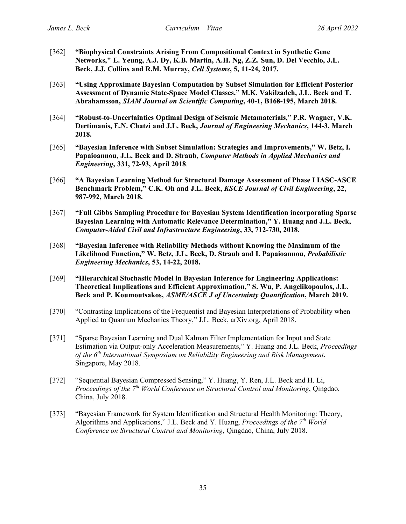- [362] **"Biophysical Constraints Arising From Compositional Context in Synthetic Gene Networks," E. Yeung, A.J. Dy, K.B. Martin, A.H. Ng, Z.Z. Sun, D. Del Vecchio, J.L. Beck, J.J. Collins and R.M. Murray,** *Cell Systems***, 5, 11-24, 2017.**
- [363] **"Using Approximate Bayesian Computation by Subset Simulation for Efficient Posterior Assessment of Dynamic State-Space Model Classes," M.K. Vakilzadeh, J.L. Beck and T. Abrahamsson,** *SIAM Journal on Scientific Computing***, 40-1, B168-195, March 2018.**
- [364] **"Robust-to-Uncertainties Optimal Design of Seismic Metamaterials**," **P.R. Wagner, V.K. Dertimanis, E.N. Chatzi and J.L. Beck,** *Journal of Engineering Mechanics***, 144-3, March 2018.**
- [365] **"Bayesian Inference with Subset Simulation: Strategies and Improvements," W. Betz, I. Papaioannou, J.L. Beck and D. Straub,** *Computer Methods in Applied Mechanics and Engineering***, 331, 72-93, April 2018**.
- [366] **"A Bayesian Learning Method for Structural Damage Assessment of Phase I IASC-ASCE Benchmark Problem," C.K. Oh and J.L. Beck,** *KSCE Journal of Civil Engineering***, 22, 987-992, March 2018.**
- [367] **"Full Gibbs Sampling Procedure for Bayesian System Identification incorporating Sparse Bayesian Learning with Automatic Relevance Determination," Y. Huang and J.L. Beck,**  *Computer-Aided Civil and Infrastructure Engineering***, 33, 712-730, 2018.**
- [368] **"Bayesian Inference with Reliability Methods without Knowing the Maximum of the Likelihood Function," W. Betz, J.L. Beck, D. Straub and I. Papaioannou,** *Probabilistic Engineering Mechanics***, 53, 14-22, 2018.**
- [369] **"Hierarchical Stochastic Model in Bayesian Inference for Engineering Applications: Theoretical Implications and Efficient Approximation," S. Wu, P. Angelikopoulos, J.L. Beck and P. Koumoutsakos,** *ASME/ASCE J of Uncertainty Quantification***, March 2019.**
- [370] "Contrasting Implications of the Frequentist and Bayesian Interpretations of Probability when Applied to Quantum Mechanics Theory," J.L. Beck, arXiv.org, April 2018.
- [371] "Sparse Bayesian Learning and Dual Kalman Filter Implementation for Input and State Estimation via Output-only Acceleration Measurements," Y. Huang and J.L. Beck, *Proceedings of the 6th International Symposium on Reliability Engineering and Risk Management*, Singapore, May 2018.
- [372] "Sequential Bayesian Compressed Sensing," Y. Huang, Y. Ren, J.L. Beck and H. Li, *Proceedings of the 7th World Conference on Structural Control and Monitoring*, Qingdao, China, July 2018.
- [373] "Bayesian Framework for System Identification and Structural Health Monitoring: Theory, Algorithms and Applications," J.L. Beck and Y. Huang, *Proceedings of the 7<sup>th</sup> World Conference on Structural Control and Monitoring*, Qingdao, China, July 2018.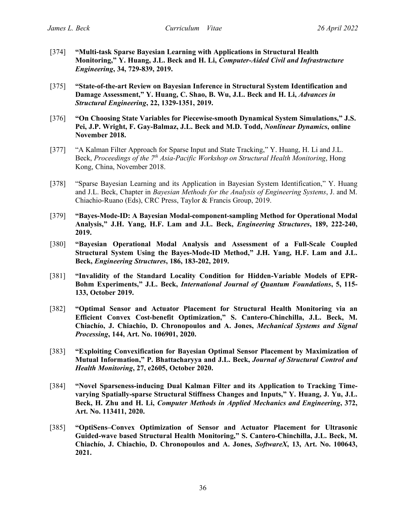- [374] **"Multi-task Sparse Bayesian Learning with Applications in Structural Health Monitoring," Y. Huang, J.L. Beck and H. Li,** *Computer-Aided Civil and Infrastructure Engineering***, 34, 729-839, 2019.**
- [375] **"State-of-the-art Review on Bayesian Inference in Structural System Identification and Damage Assessment," Y. Huang, C. Shao, B. Wu, J.L. Beck and H. Li,** *Advances in Structural Engineering***, 22, 1329-1351, 2019.**
- [376] **"On Choosing State Variables for Piecewise-smooth Dynamical System Simulations," J.S. Pei, J.P. Wright, F. Gay-Balmaz, J.L. Beck and M.D. Todd,** *Nonlinear Dynamics***, online November 2018.**
- [377] "A Kalman Filter Approach for Sparse Input and State Tracking," Y. Huang, H. Li and J.L. Beck, *Proceedings of the 7th Asia-Pacific Workshop on Structural Health Monitoring*, Hong Kong, China, November 2018.
- [378] "Sparse Bayesian Learning and its Application in Bayesian System Identification," Y. Huang and J.L. Beck, Chapter in *Bayesian Methods for the Analysis of Engineering Systems*, J. and M. Chiachio-Ruano (Eds), CRC Press, Taylor & Francis Group, 2019.
- [379] **"Bayes-Mode-ID: A Bayesian Modal-component-sampling Method for Operational Modal Analysis," J.H. Yang, H.F. Lam and J.L. Beck,** *Engineering Structures***, 189, 222-240, 2019.**
- [380] **"Bayesian Operational Modal Analysis and Assessment of a Full-Scale Coupled Structural System Using the Bayes-Mode-ID Method," J.H. Yang, H.F. Lam and J.L. Beck,** *Engineering Structures***, 186, 183-202, 2019.**
- [381] **"Invalidity of the Standard Locality Condition for Hidden-Variable Models of EPR-Bohm Experiments," J.L. Beck,** *International Journal of Quantum Foundations***, 5, 115- 133, October 2019.**
- [382] **"Optimal Sensor and Actuator Placement for Structural Health Monitoring via an Efficient Convex Cost-benefit Optimization," S. Cantero-Chinchilla, J.L. Beck, M. Chiachío, J. Chiachio, D. Chronopoulos and A. Jones,** *Mechanical Systems and Signal Processing***, 144, Art. No. 106901, 2020.**
- [383] **"Exploiting Convexification for Bayesian Optimal Sensor Placement by Maximization of Mutual Information," P. Bhattacharyya and J.L. Beck,** *Journal of Structural Control and Health Monitoring***, 27, e2605, October 2020.**
- [384] **"Novel Sparseness-inducing Dual Kalman Filter and its Application to Tracking Timevarying Spatially-sparse Structural Stiffness Changes and Inputs," Y. Huang, J. Yu, J.L. Beck, H. Zhu and H. Li,** *Computer Methods in Applied Mechanics and Engineering***, 372, Art. No. 113411, 2020.**
- [385] **"OptiSens–Convex Optimization of Sensor and Actuator Placement for Ultrasonic Guided-wave based Structural Health Monitoring," S. Cantero-Chinchilla, J.L. Beck, M. Chiachío, J. Chiachio, D. Chronopoulos and A. Jones,** *SoftwareX***, 13, Art. No. 100643, 2021.**